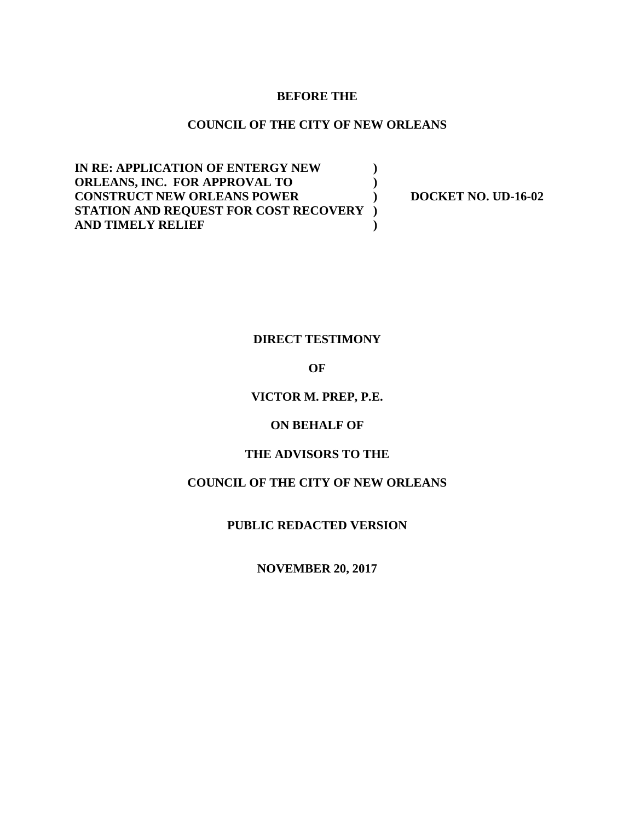#### **BEFORE THE**

#### **COUNCIL OF THE CITY OF NEW ORLEANS**

**IN RE: APPLICATION OF ENTERGY NEW ) ORLEANS, INC. FOR APPROVAL TO ) CONSTRUCT NEW ORLEANS POWER ) DOCKET NO. UD-16-02 STATION AND REQUEST FOR COST RECOVERY ) AND TIMELY RELIEF )**

### **DIRECT TESTIMONY**

#### **OF**

#### **VICTOR M. PREP, P.E.**

#### **ON BEHALF OF**

#### **THE ADVISORS TO THE**

### **COUNCIL OF THE CITY OF NEW ORLEANS**

### **PUBLIC REDACTED VERSION**

#### **NOVEMBER 20, 2017**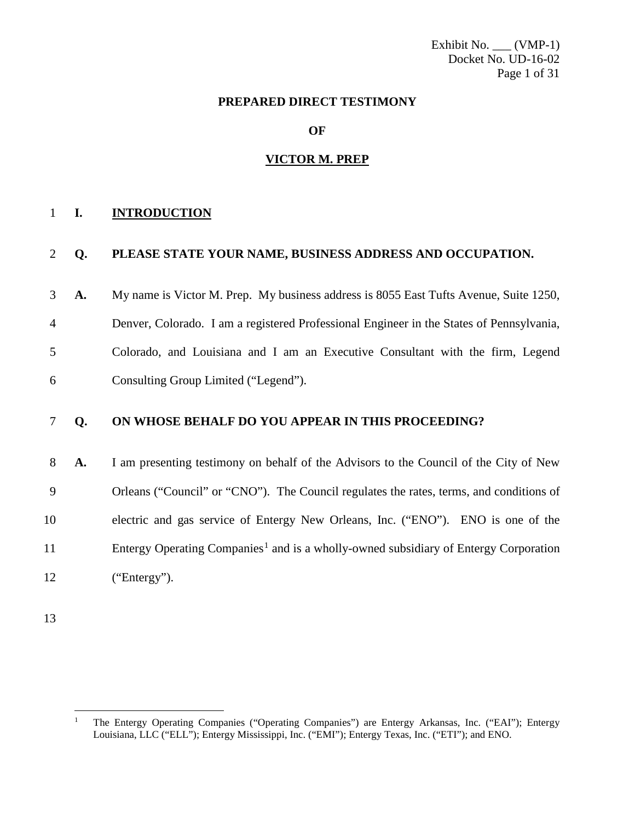Exhibit No. \_\_\_ (VMP-1) Docket No. UD-16-02 Page 1 of 31

#### **PREPARED DIRECT TESTIMONY**

**OF**

#### **VICTOR M. PREP**

#### **I. INTRODUCTION**

#### **Q. PLEASE STATE YOUR NAME, BUSINESS ADDRESS AND OCCUPATION.**

 **A.** My name is Victor M. Prep. My business address is 8055 East Tufts Avenue, Suite 1250, Denver, Colorado. I am a registered Professional Engineer in the States of Pennsylvania, Colorado, and Louisiana and I am an Executive Consultant with the firm, Legend

Consulting Group Limited ("Legend").

### **Q. ON WHOSE BEHALF DO YOU APPEAR IN THIS PROCEEDING?**

 **A.** I am presenting testimony on behalf of the Advisors to the Council of the City of New Orleans ("Council" or "CNO"). The Council regulates the rates, terms, and conditions of electric and gas service of Entergy New Orleans, Inc. ("ENO"). ENO is one of the Entergy Operating Companies<sup>[1](#page-1-0)</sup> and is a wholly-owned subsidiary of Entergy Corporation ("Entergy").

<span id="page-1-0"></span> The Entergy Operating Companies ("Operating Companies") are Entergy Arkansas, Inc. ("EAI"); Entergy Louisiana, LLC ("ELL"); Entergy Mississippi, Inc. ("EMI"); Entergy Texas, Inc. ("ETI"); and ENO.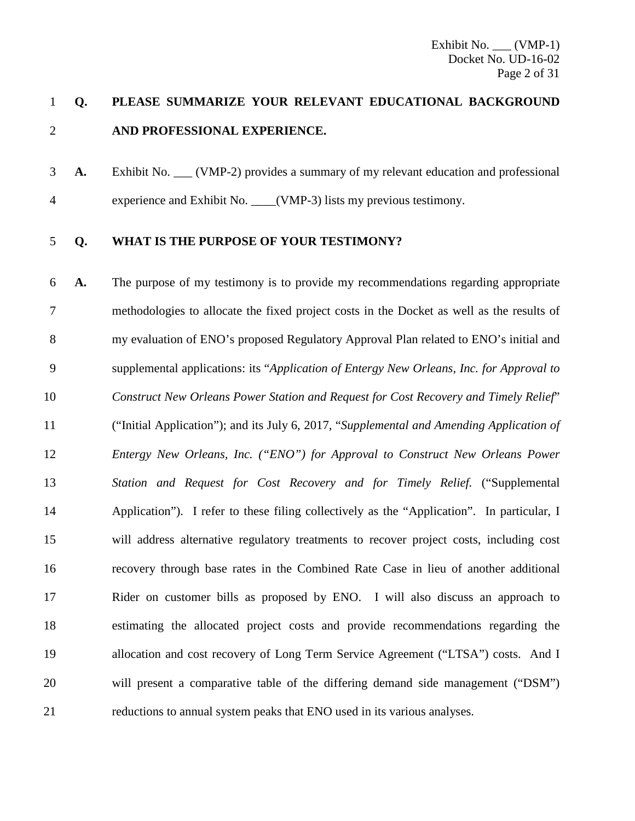### **Q. PLEASE SUMMARIZE YOUR RELEVANT EDUCATIONAL BACKGROUND AND PROFESSIONAL EXPERIENCE.**

**A.** Exhibit No. (VMP-2) provides a summary of my relevant education and professional 4 experience and Exhibit No. (VMP-3) lists my previous testimony.

### **Q. WHAT IS THE PURPOSE OF YOUR TESTIMONY?**

 **A.** The purpose of my testimony is to provide my recommendations regarding appropriate methodologies to allocate the fixed project costs in the Docket as well as the results of my evaluation of ENO's proposed Regulatory Approval Plan related to ENO's initial and supplemental applications: its "*Application of Entergy New Orleans, Inc. for Approval to Construct New Orleans Power Station and Request for Cost Recovery and Timely Relief*" ("Initial Application"); and its July 6, 2017, "*Supplemental and Amending Application of Entergy New Orleans, Inc. ("ENO") for Approval to Construct New Orleans Power Station and Request for Cost Recovery and for Timely Relief.* ("Supplemental Application"). I refer to these filing collectively as the "Application". In particular, I will address alternative regulatory treatments to recover project costs, including cost recovery through base rates in the Combined Rate Case in lieu of another additional Rider on customer bills as proposed by ENO. I will also discuss an approach to estimating the allocated project costs and provide recommendations regarding the allocation and cost recovery of Long Term Service Agreement ("LTSA") costs. And I will present a comparative table of the differing demand side management ("DSM") reductions to annual system peaks that ENO used in its various analyses.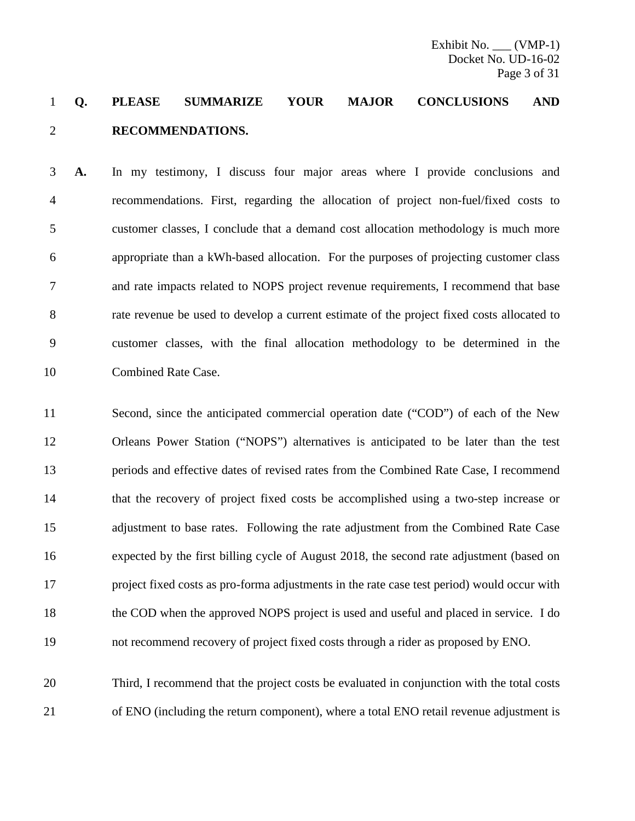### **Q. PLEASE SUMMARIZE YOUR MAJOR CONCLUSIONS AND RECOMMENDATIONS.**

 **A.** In my testimony, I discuss four major areas where I provide conclusions and recommendations. First, regarding the allocation of project non-fuel/fixed costs to customer classes, I conclude that a demand cost allocation methodology is much more appropriate than a kWh-based allocation. For the purposes of projecting customer class and rate impacts related to NOPS project revenue requirements, I recommend that base rate revenue be used to develop a current estimate of the project fixed costs allocated to customer classes, with the final allocation methodology to be determined in the Combined Rate Case.

 Second, since the anticipated commercial operation date ("COD") of each of the New Orleans Power Station ("NOPS") alternatives is anticipated to be later than the test periods and effective dates of revised rates from the Combined Rate Case, I recommend that the recovery of project fixed costs be accomplished using a two-step increase or adjustment to base rates. Following the rate adjustment from the Combined Rate Case expected by the first billing cycle of August 2018, the second rate adjustment (based on project fixed costs as pro-forma adjustments in the rate case test period) would occur with the COD when the approved NOPS project is used and useful and placed in service. I do not recommend recovery of project fixed costs through a rider as proposed by ENO.

 Third, I recommend that the project costs be evaluated in conjunction with the total costs of ENO (including the return component), where a total ENO retail revenue adjustment is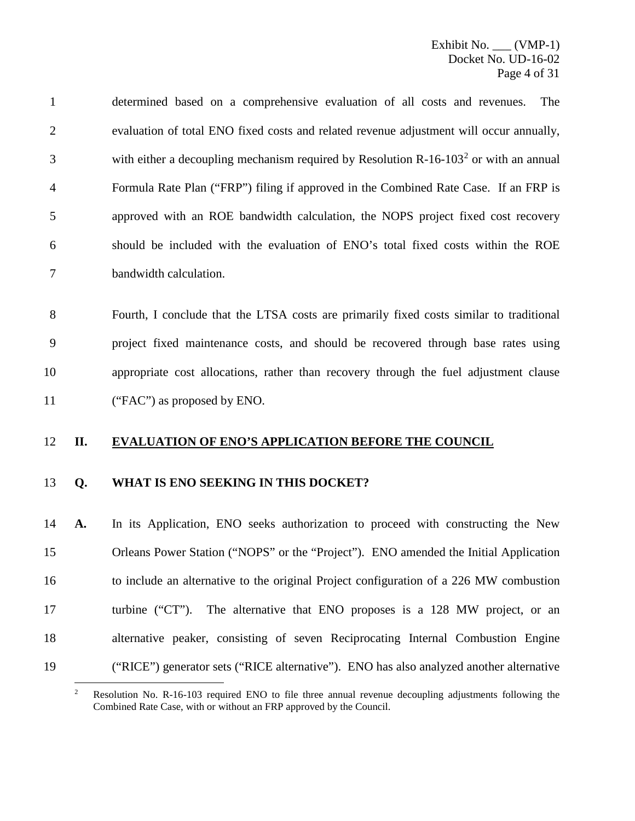determined based on a comprehensive evaluation of all costs and revenues. The evaluation of total ENO fixed costs and related revenue adjustment will occur annually, 3 with either a decoupling mechanism required by Resolution R-16-103<sup>[2](#page-4-0)</sup> or with an annual Formula Rate Plan ("FRP") filing if approved in the Combined Rate Case. If an FRP is approved with an ROE bandwidth calculation, the NOPS project fixed cost recovery should be included with the evaluation of ENO's total fixed costs within the ROE bandwidth calculation.

 Fourth, I conclude that the LTSA costs are primarily fixed costs similar to traditional project fixed maintenance costs, and should be recovered through base rates using appropriate cost allocations, rather than recovery through the fuel adjustment clause ("FAC") as proposed by ENO.

#### **II. EVALUATION OF ENO'S APPLICATION BEFORE THE COUNCIL**

#### **Q. WHAT IS ENO SEEKING IN THIS DOCKET?**

 **A.** In its Application, ENO seeks authorization to proceed with constructing the New Orleans Power Station ("NOPS" or the "Project"). ENO amended the Initial Application to include an alternative to the original Project configuration of a 226 MW combustion 17 turbine ("CT"). The alternative that ENO proposes is a 128 MW project, or an alternative peaker, consisting of seven Reciprocating Internal Combustion Engine ("RICE") generator sets ("RICE alternative"). ENO has also analyzed another alternative

<span id="page-4-0"></span><sup>&</sup>lt;sup>2</sup> Resolution No. R-16-103 required ENO to file three annual revenue decoupling adjustments following the Combined Rate Case, with or without an FRP approved by the Council.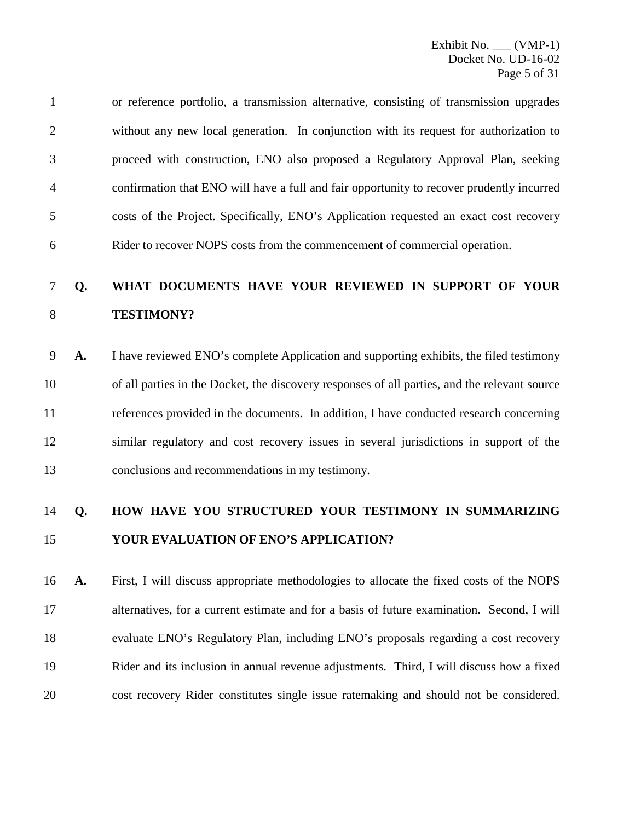or reference portfolio, a transmission alternative, consisting of transmission upgrades without any new local generation. In conjunction with its request for authorization to proceed with construction, ENO also proposed a Regulatory Approval Plan, seeking confirmation that ENO will have a full and fair opportunity to recover prudently incurred costs of the Project. Specifically, ENO's Application requested an exact cost recovery Rider to recover NOPS costs from the commencement of commercial operation.

### **Q. WHAT DOCUMENTS HAVE YOUR REVIEWED IN SUPPORT OF YOUR TESTIMONY?**

 **A.** I have reviewed ENO's complete Application and supporting exhibits, the filed testimony of all parties in the Docket, the discovery responses of all parties, and the relevant source references provided in the documents. In addition, I have conducted research concerning similar regulatory and cost recovery issues in several jurisdictions in support of the conclusions and recommendations in my testimony.

### **Q. HOW HAVE YOU STRUCTURED YOUR TESTIMONY IN SUMMARIZING YOUR EVALUATION OF ENO'S APPLICATION?**

 **A.** First, I will discuss appropriate methodologies to allocate the fixed costs of the NOPS alternatives, for a current estimate and for a basis of future examination. Second, I will evaluate ENO's Regulatory Plan, including ENO's proposals regarding a cost recovery Rider and its inclusion in annual revenue adjustments. Third, I will discuss how a fixed cost recovery Rider constitutes single issue ratemaking and should not be considered.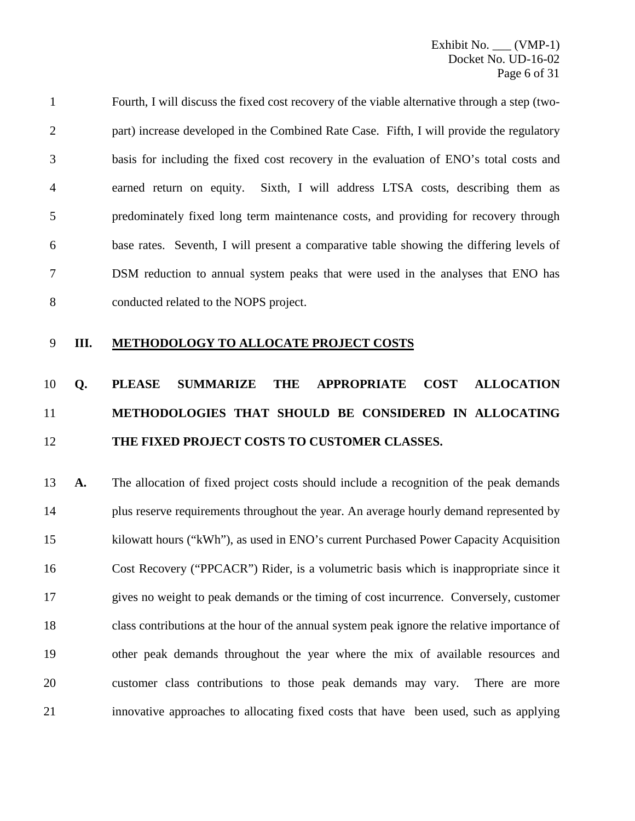Fourth, I will discuss the fixed cost recovery of the viable alternative through a step (two- part) increase developed in the Combined Rate Case. Fifth, I will provide the regulatory basis for including the fixed cost recovery in the evaluation of ENO's total costs and earned return on equity. Sixth, I will address LTSA costs, describing them as predominately fixed long term maintenance costs, and providing for recovery through base rates. Seventh, I will present a comparative table showing the differing levels of DSM reduction to annual system peaks that were used in the analyses that ENO has conducted related to the NOPS project.

**III. METHODOLOGY TO ALLOCATE PROJECT COSTS**

## **Q. PLEASE SUMMARIZE THE APPROPRIATE COST ALLOCATION METHODOLOGIES THAT SHOULD BE CONSIDERED IN ALLOCATING THE FIXED PROJECT COSTS TO CUSTOMER CLASSES.**

 **A.** The allocation of fixed project costs should include a recognition of the peak demands plus reserve requirements throughout the year. An average hourly demand represented by kilowatt hours ("kWh"), as used in ENO's current Purchased Power Capacity Acquisition Cost Recovery ("PPCACR") Rider, is a volumetric basis which is inappropriate since it gives no weight to peak demands or the timing of cost incurrence. Conversely, customer class contributions at the hour of the annual system peak ignore the relative importance of other peak demands throughout the year where the mix of available resources and customer class contributions to those peak demands may vary. There are more innovative approaches to allocating fixed costs that have been used, such as applying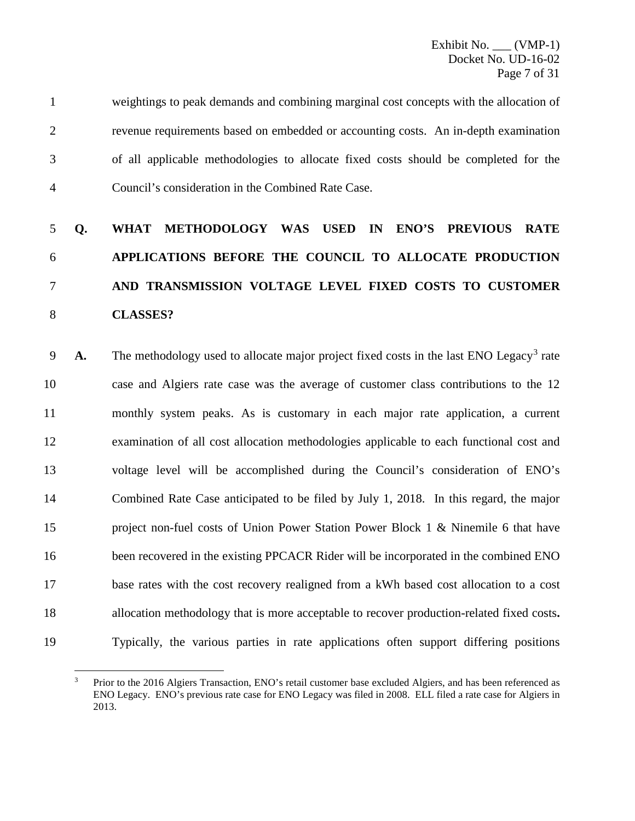weightings to peak demands and combining marginal cost concepts with the allocation of revenue requirements based on embedded or accounting costs. An in-depth examination of all applicable methodologies to allocate fixed costs should be completed for the Council's consideration in the Combined Rate Case.

## **Q. WHAT METHODOLOGY WAS USED IN ENO'S PREVIOUS RATE APPLICATIONS BEFORE THE COUNCIL TO ALLOCATE PRODUCTION AND TRANSMISSION VOLTAGE LEVEL FIXED COSTS TO CUSTOMER CLASSES?**

**A.** The methodology used to allocate major project fixed costs in the last ENO Legacy<sup>[3](#page-7-0)</sup> rate case and Algiers rate case was the average of customer class contributions to the 12 monthly system peaks. As is customary in each major rate application, a current examination of all cost allocation methodologies applicable to each functional cost and voltage level will be accomplished during the Council's consideration of ENO's Combined Rate Case anticipated to be filed by July 1, 2018. In this regard, the major project non-fuel costs of Union Power Station Power Block 1 & Ninemile 6 that have 16 been recovered in the existing PPCACR Rider will be incorporated in the combined ENO base rates with the cost recovery realigned from a kWh based cost allocation to a cost allocation methodology that is more acceptable to recover production-related fixed costs**.**  Typically, the various parties in rate applications often support differing positions

<span id="page-7-0"></span> Prior to the 2016 Algiers Transaction, ENO's retail customer base excluded Algiers, and has been referenced as ENO Legacy. ENO's previous rate case for ENO Legacy was filed in 2008. ELL filed a rate case for Algiers in 2013.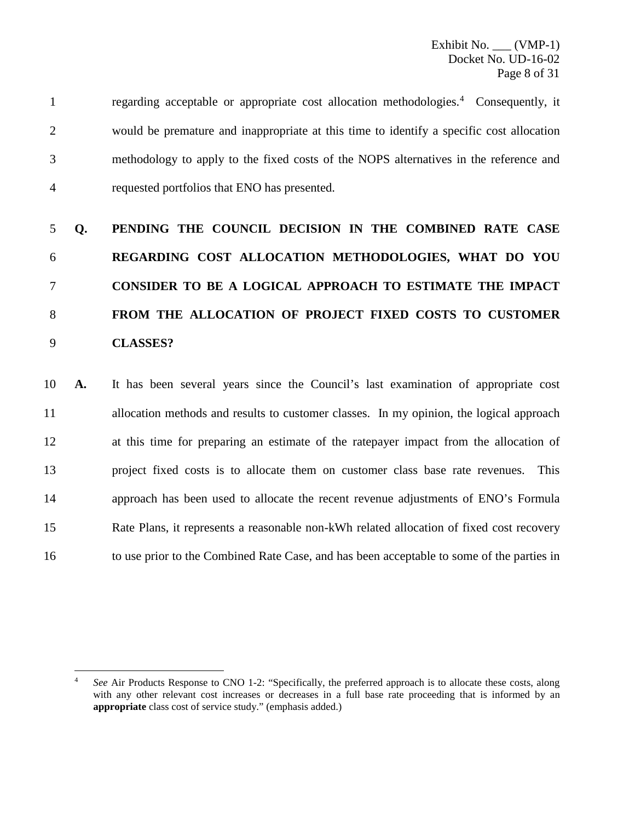regarding acceptable or appropriate cost allocation methodologies.[4](#page-8-0) 1 Consequently, it would be premature and inappropriate at this time to identify a specific cost allocation methodology to apply to the fixed costs of the NOPS alternatives in the reference and requested portfolios that ENO has presented.

# **Q. PENDING THE COUNCIL DECISION IN THE COMBINED RATE CASE REGARDING COST ALLOCATION METHODOLOGIES, WHAT DO YOU CONSIDER TO BE A LOGICAL APPROACH TO ESTIMATE THE IMPACT FROM THE ALLOCATION OF PROJECT FIXED COSTS TO CUSTOMER CLASSES?**

 **A.** It has been several years since the Council's last examination of appropriate cost allocation methods and results to customer classes. In my opinion, the logical approach at this time for preparing an estimate of the ratepayer impact from the allocation of project fixed costs is to allocate them on customer class base rate revenues. This approach has been used to allocate the recent revenue adjustments of ENO's Formula Rate Plans, it represents a reasonable non-kWh related allocation of fixed cost recovery to use prior to the Combined Rate Case, and has been acceptable to some of the parties in

<span id="page-8-0"></span> *See* Air Products Response to CNO 1-2: "Specifically, the preferred approach is to allocate these costs, along with any other relevant cost increases or decreases in a full base rate proceeding that is informed by an **appropriate** class cost of service study." (emphasis added.)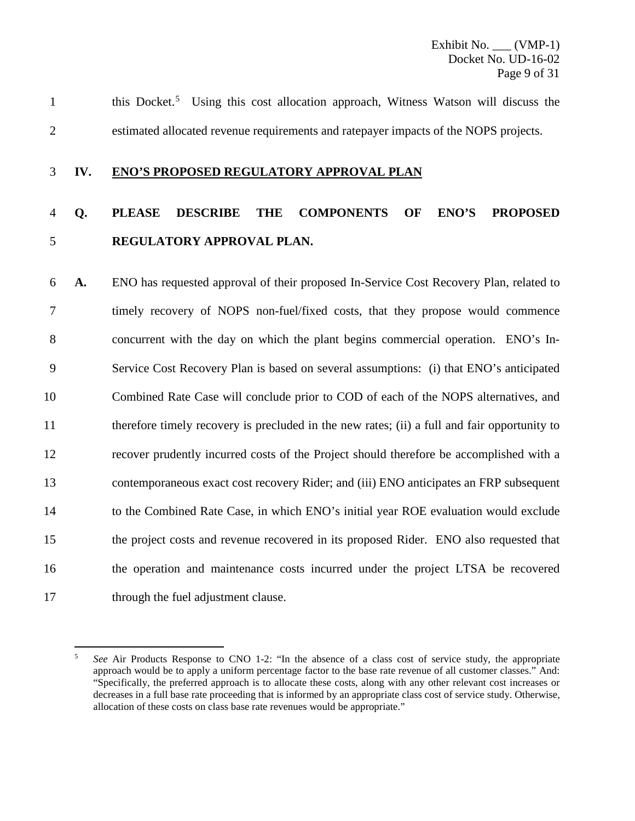this Docket.<sup>[5](#page-9-0)</sup> Using this cost allocation approach, Witness Watson will discuss the estimated allocated revenue requirements and ratepayer impacts of the NOPS projects.

#### **IV. ENO'S PROPOSED REGULATORY APPROVAL PLAN**

### **Q. PLEASE DESCRIBE THE COMPONENTS OF ENO'S PROPOSED REGULATORY APPROVAL PLAN.**

 **A.** ENO has requested approval of their proposed In-Service Cost Recovery Plan, related to timely recovery of NOPS non-fuel/fixed costs, that they propose would commence concurrent with the day on which the plant begins commercial operation. ENO's In- Service Cost Recovery Plan is based on several assumptions: (i) that ENO's anticipated Combined Rate Case will conclude prior to COD of each of the NOPS alternatives, and therefore timely recovery is precluded in the new rates; (ii) a full and fair opportunity to recover prudently incurred costs of the Project should therefore be accomplished with a contemporaneous exact cost recovery Rider; and (iii) ENO anticipates an FRP subsequent to the Combined Rate Case, in which ENO's initial year ROE evaluation would exclude the project costs and revenue recovered in its proposed Rider. ENO also requested that the operation and maintenance costs incurred under the project LTSA be recovered 17 through the fuel adjustment clause.

<span id="page-9-0"></span> *See* Air Products Response to CNO 1-2: "In the absence of a class cost of service study, the appropriate approach would be to apply a uniform percentage factor to the base rate revenue of all customer classes." And: "Specifically, the preferred approach is to allocate these costs, along with any other relevant cost increases or decreases in a full base rate proceeding that is informed by an appropriate class cost of service study. Otherwise, allocation of these costs on class base rate revenues would be appropriate."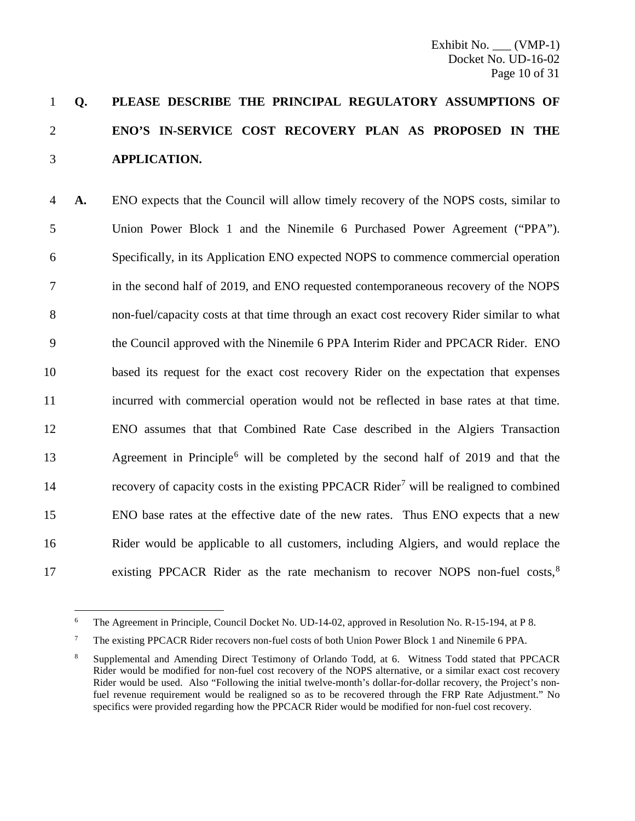## **Q. PLEASE DESCRIBE THE PRINCIPAL REGULATORY ASSUMPTIONS OF ENO'S IN-SERVICE COST RECOVERY PLAN AS PROPOSED IN THE APPLICATION.**

 **A.** ENO expects that the Council will allow timely recovery of the NOPS costs, similar to Union Power Block 1 and the Ninemile 6 Purchased Power Agreement ("PPA"). Specifically, in its Application ENO expected NOPS to commence commercial operation in the second half of 2019, and ENO requested contemporaneous recovery of the NOPS non-fuel/capacity costs at that time through an exact cost recovery Rider similar to what the Council approved with the Ninemile 6 PPA Interim Rider and PPCACR Rider. ENO based its request for the exact cost recovery Rider on the expectation that expenses incurred with commercial operation would not be reflected in base rates at that time. ENO assumes that that Combined Rate Case described in the Algiers Transaction Agreement in Principle<sup>[6](#page-10-0)</sup> will be completed by the second half of 2019 and that the 14 recovery of capacity costs in the existing PPCACR Rider<sup>[7](#page-10-1)</sup> will be realigned to combined ENO base rates at the effective date of the new rates. Thus ENO expects that a new Rider would be applicable to all customers, including Algiers, and would replace the 17 existing PPCACR Rider as the rate mechanism to recover NOPS non-fuel costs,<sup>[8](#page-10-2)</sup>

<span id="page-10-0"></span>The Agreement in Principle, Council Docket No. UD-14-02, approved in Resolution No. R-15-194, at P 8.

<span id="page-10-1"></span>The existing PPCACR Rider recovers non-fuel costs of both Union Power Block 1 and Ninemile 6 PPA.

<span id="page-10-2"></span> Supplemental and Amending Direct Testimony of Orlando Todd, at 6. Witness Todd stated that PPCACR Rider would be modified for non-fuel cost recovery of the NOPS alternative, or a similar exact cost recovery Rider would be used. Also "Following the initial twelve-month's dollar-for-dollar recovery, the Project's nonfuel revenue requirement would be realigned so as to be recovered through the FRP Rate Adjustment." No specifics were provided regarding how the PPCACR Rider would be modified for non-fuel cost recovery.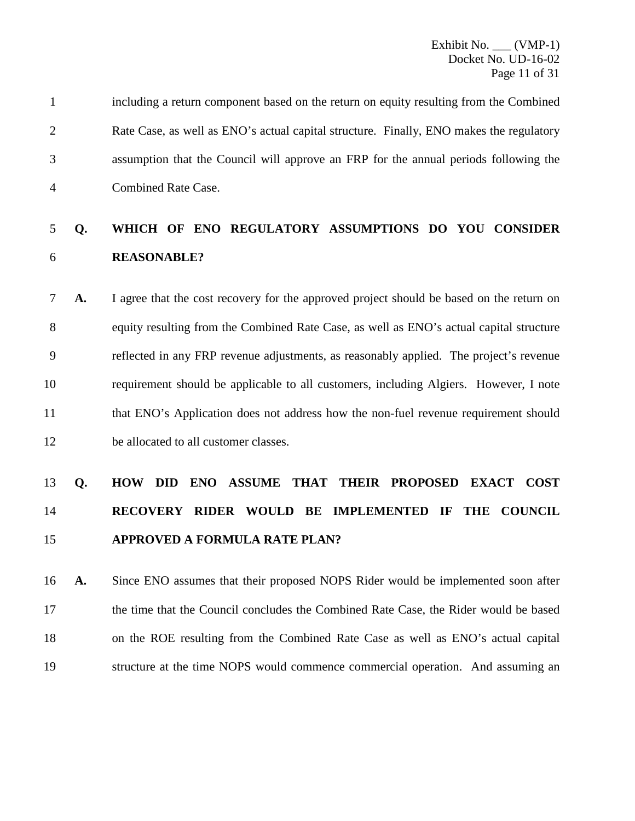|   | including a return component based on the return on equity resulting from the Combined  |
|---|-----------------------------------------------------------------------------------------|
|   | Rate Case, as well as ENO's actual capital structure. Finally, ENO makes the regulatory |
|   | assumption that the Council will approve an FRP for the annual periods following the    |
| 4 | Combined Rate Case.                                                                     |

### **Q. WHICH OF ENO REGULATORY ASSUMPTIONS DO YOU CONSIDER REASONABLE?**

 **A.** I agree that the cost recovery for the approved project should be based on the return on equity resulting from the Combined Rate Case, as well as ENO's actual capital structure reflected in any FRP revenue adjustments, as reasonably applied. The project's revenue requirement should be applicable to all customers, including Algiers. However, I note that ENO's Application does not address how the non-fuel revenue requirement should be allocated to all customer classes.

## **Q. HOW DID ENO ASSUME THAT THEIR PROPOSED EXACT COST RECOVERY RIDER WOULD BE IMPLEMENTED IF THE COUNCIL APPROVED A FORMULA RATE PLAN?**

 **A.** Since ENO assumes that their proposed NOPS Rider would be implemented soon after the time that the Council concludes the Combined Rate Case, the Rider would be based on the ROE resulting from the Combined Rate Case as well as ENO's actual capital structure at the time NOPS would commence commercial operation. And assuming an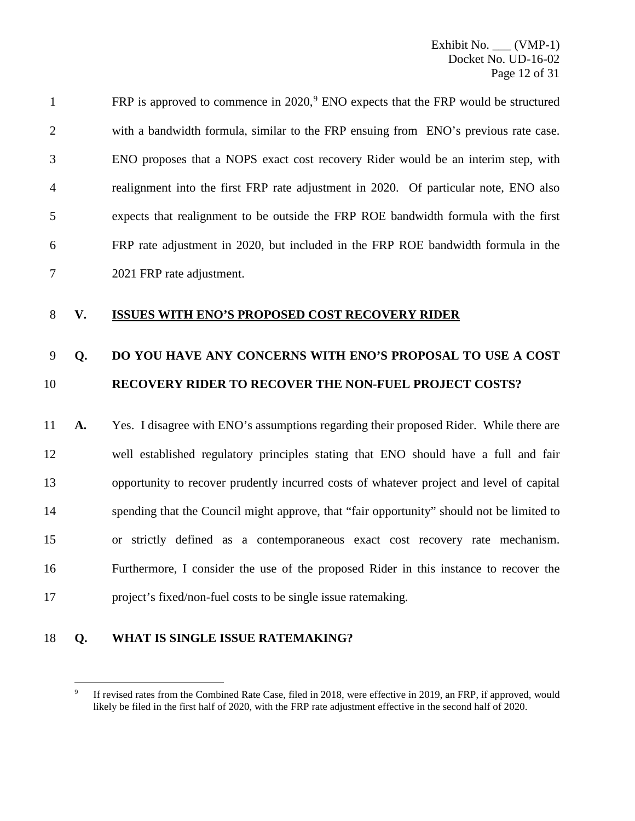| $\mathbf{1}$   | FRP is approved to commence in $2020$ , $\degree$ ENO expects that the FRP would be structured |
|----------------|------------------------------------------------------------------------------------------------|
| 2              | with a bandwidth formula, similar to the FRP ensuing from ENO's previous rate case.            |
| 3              | ENO proposes that a NOPS exact cost recovery Rider would be an interim step, with              |
| $\overline{4}$ | realignment into the first FRP rate adjustment in 2020. Of particular note, ENO also           |
| 5              | expects that realignment to be outside the FRP ROE bandwidth formula with the first            |
| 6              | FRP rate adjustment in 2020, but included in the FRP ROE bandwidth formula in the              |
| 7              | 2021 FRP rate adjustment.                                                                      |

### **V. ISSUES WITH ENO'S PROPOSED COST RECOVERY RIDER**

### **Q. DO YOU HAVE ANY CONCERNS WITH ENO'S PROPOSAL TO USE A COST RECOVERY RIDER TO RECOVER THE NON-FUEL PROJECT COSTS?**

 **A.** Yes. I disagree with ENO's assumptions regarding their proposed Rider. While there are well established regulatory principles stating that ENO should have a full and fair opportunity to recover prudently incurred costs of whatever project and level of capital spending that the Council might approve, that "fair opportunity" should not be limited to or strictly defined as a contemporaneous exact cost recovery rate mechanism. Furthermore, I consider the use of the proposed Rider in this instance to recover the project's fixed/non-fuel costs to be single issue ratemaking.

### <span id="page-12-0"></span>**Q. WHAT IS SINGLE ISSUE RATEMAKING?**

<sup>&</sup>lt;sup>9</sup> If revised rates from the Combined Rate Case, filed in 2018, were effective in 2019, an FRP, if approved, would likely be filed in the first half of 2020, with the FRP rate adjustment effective in the second half of 2020.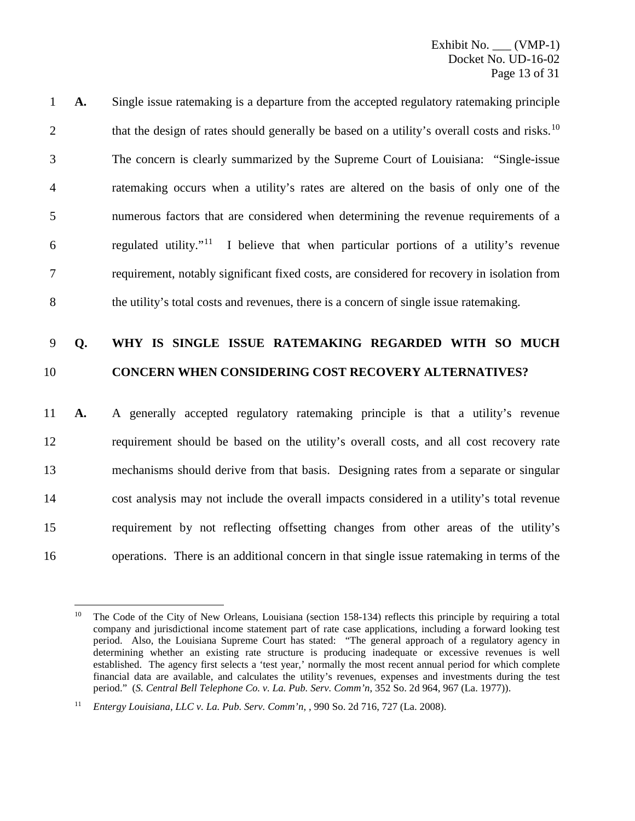**A.** Single issue ratemaking is a departure from the accepted regulatory ratemaking principle that the design of rates should generally be based on a utility's overall costs and risks.<sup>[10](#page-13-0)</sup> The concern is clearly summarized by the Supreme Court of Louisiana: "Single-issue ratemaking occurs when a utility's rates are altered on the basis of only one of the numerous factors that are considered when determining the revenue requirements of a 6 regulated utility.<sup>"[11](#page-13-1)</sup> I believe that when particular portions of a utility's revenue requirement, notably significant fixed costs, are considered for recovery in isolation from the utility's total costs and revenues, there is a concern of single issue ratemaking.

### 9 **Q. WHY IS SINGLE ISSUE RATEMAKING REGARDED WITH SO MUCH**  10 **CONCERN WHEN CONSIDERING COST RECOVERY ALTERNATIVES?**

 **A.** A generally accepted regulatory ratemaking principle is that a utility's revenue requirement should be based on the utility's overall costs, and all cost recovery rate mechanisms should derive from that basis. Designing rates from a separate or singular cost analysis may not include the overall impacts considered in a utility's total revenue requirement by not reflecting offsetting changes from other areas of the utility's operations. There is an additional concern in that single issue ratemaking in terms of the

<span id="page-13-0"></span><sup>&</sup>lt;sup>10</sup> The Code of the City of New Orleans, Louisiana (section 158-134) reflects this principle by requiring a total company and jurisdictional income statement part of rate case applications, including a forward looking test period. Also, the Louisiana Supreme Court has stated: "The general approach of a regulatory agency in determining whether an existing rate structure is producing inadequate or excessive revenues is well established. The agency first selects a 'test year,' normally the most recent annual period for which complete financial data are available, and calculates the utility's revenues, expenses and investments during the test period." (*S. Central Bell Telephone Co. v. La. Pub. Serv. Comm'n*, 352 So. 2d 964, 967 (La. 1977)).

<span id="page-13-1"></span><sup>11</sup> *Entergy Louisiana, LLC v. La. Pub. Serv. Comm'n*, , 990 So. 2d 716, 727 (La. 2008).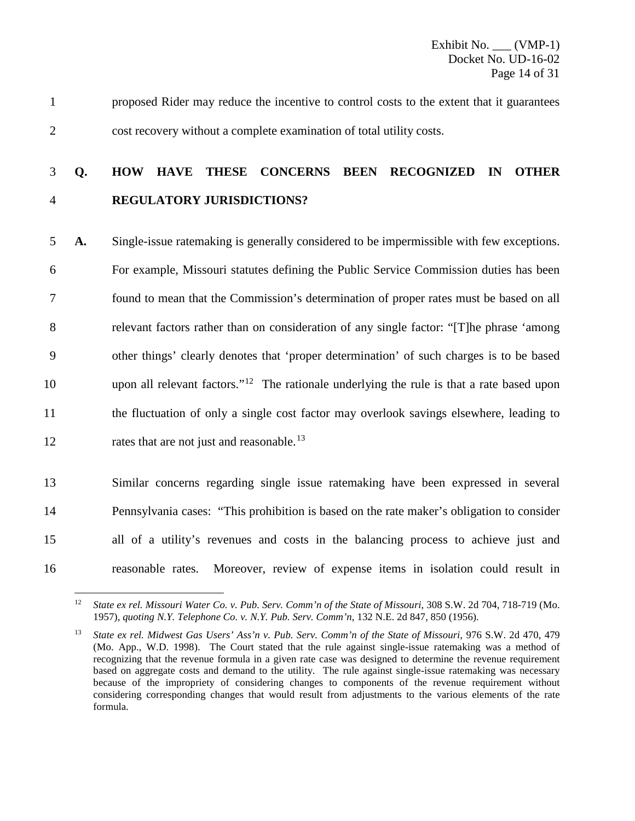1 proposed Rider may reduce the incentive to control costs to the extent that it guarantees 2 cost recovery without a complete examination of total utility costs.

### 3 **Q. HOW HAVE THESE CONCERNS BEEN RECOGNIZED IN OTHER**  4 **REGULATORY JURISDICTIONS?**

 **A.** Single-issue ratemaking is generally considered to be impermissible with few exceptions. For example, Missouri statutes defining the Public Service Commission duties has been found to mean that the Commission's determination of proper rates must be based on all relevant factors rather than on consideration of any single factor: "[T]he phrase 'among other things' clearly denotes that 'proper determination' of such charges is to be based upon all relevant factors."<sup>12</sup> The rationale underlying the rule is that a rate based upon the fluctuation of only a single cost factor may overlook savings elsewhere, leading to 12 rates that are not just and reasonable.<sup>[13](#page-14-1)</sup>

 Similar concerns regarding single issue ratemaking have been expressed in several Pennsylvania cases: "This prohibition is based on the rate maker's obligation to consider all of a utility's revenues and costs in the balancing process to achieve just and reasonable rates. Moreover, review of expense items in isolation could result in

<span id="page-14-0"></span><sup>&</sup>lt;sup>12</sup> *State ex rel. Missouri Water Co. v. Pub. Serv. Comm'n of the State of Missouri*, 308 S.W. 2d 704, 718-719 (Mo. 1957), *quoting N.Y. Telephone Co. v. N.Y. Pub. Serv. Comm'n*, 132 N.E. 2d 847, 850 (1956).

<span id="page-14-1"></span><sup>13</sup> *State ex rel. Midwest Gas Users' Ass'n v. Pub. Serv. Comm'n of the State of Missouri*, 976 S.W. 2d 470, 479 (Mo. App., W.D. 1998). The Court stated that the rule against single-issue ratemaking was a method of recognizing that the revenue formula in a given rate case was designed to determine the revenue requirement based on aggregate costs and demand to the utility. The rule against single-issue ratemaking was necessary because of the impropriety of considering changes to components of the revenue requirement without considering corresponding changes that would result from adjustments to the various elements of the rate formula.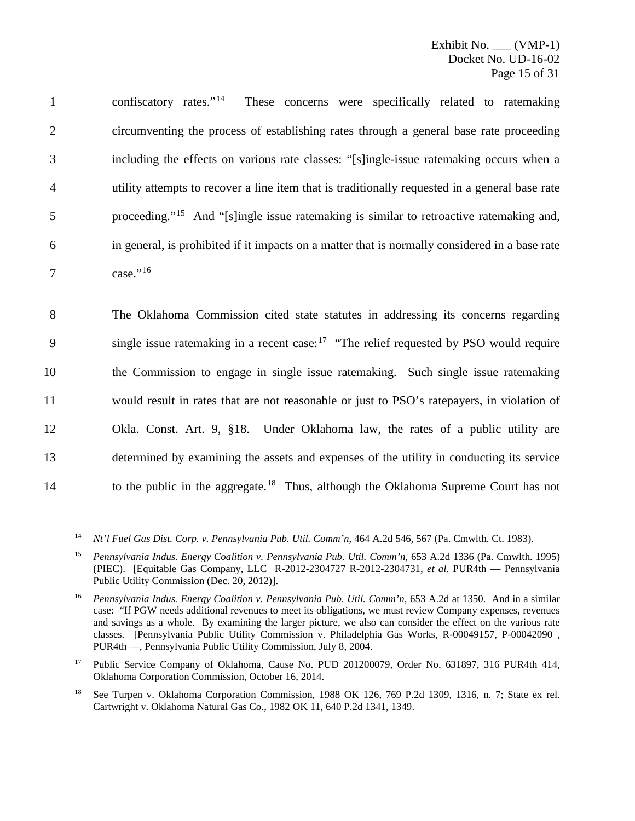1 confiscatory rates."<sup>[14](#page-15-0)</sup> These concerns were specifically related to ratemaking 2 circumventing the process of establishing rates through a general base rate proceeding 3 including the effects on various rate classes: "[s]ingle-issue ratemaking occurs when a 4 utility attempts to recover a line item that is traditionally requested in a general base rate 5 proceeding."<sup>[15](#page-15-1)</sup> And "[s]ingle issue ratemaking is similar to retroactive ratemaking and, 6 in general, is prohibited if it impacts on a matter that is normally considered in a base rate 7 case."<sup>[16](#page-15-2)</sup>

 The Oklahoma Commission cited state statutes in addressing its concerns regarding  $9 \sin{\theta}$  issue ratemaking in a recent case:<sup>[17](#page-15-3)</sup> "The relief requested by PSO would require the Commission to engage in single issue ratemaking. Such single issue ratemaking would result in rates that are not reasonable or just to PSO's ratepayers, in violation of Okla. Const. Art. 9, §18. Under Oklahoma law, the rates of a public utility are determined by examining the assets and expenses of the utility in conducting its service to the public in the aggregate.<sup>[18](#page-15-4)</sup> Thus, although the Oklahoma Supreme Court has not

<span id="page-15-0"></span> <sup>14</sup> *Nt'l Fuel Gas Dist. Corp. v. Pennsylvania Pub. Util. Comm'n*, 464 A.2d 546, 567 (Pa. Cmwlth. Ct. 1983).

<span id="page-15-1"></span><sup>15</sup> *Pennsylvania Indus. Energy Coalition v. Pennsylvania Pub. Util. Comm'n*, 653 A.2d 1336 (Pa. Cmwlth. 1995) (PIEC). [Equitable Gas Company, LLC R-2012-2304727 R-2012-2304731, *et al*. PUR4th — Pennsylvania Public Utility Commission (Dec. 20, 2012)].

<span id="page-15-2"></span><sup>16</sup> *Pennsylvania Indus. Energy Coalition v. Pennsylvania Pub. Util. Comm'n*, 653 A.2d at 1350. And in a similar case: "If PGW needs additional revenues to meet its obligations, we must review Company expenses, revenues and savings as a whole. By examining the larger picture, we also can consider the effect on the various rate classes. [Pennsylvania Public Utility Commission v. Philadelphia Gas Works, R-00049157, P-00042090 , PUR4th —, Pennsylvania Public Utility Commission, July 8, 2004.

<span id="page-15-3"></span><sup>&</sup>lt;sup>17</sup> Public Service Company of Oklahoma, Cause No. PUD 201200079, Order No. 631897, 316 PUR4th 414, Oklahoma Corporation Commission, October 16, 2014.

<span id="page-15-4"></span><sup>&</sup>lt;sup>18</sup> See Turpen v. Oklahoma Corporation Commission, 1988 OK 126, 769 P.2d 1309, 1316, n. 7; State ex rel. Cartwright v. Oklahoma Natural Gas Co., 1982 OK 11, 640 P.2d 1341, 1349.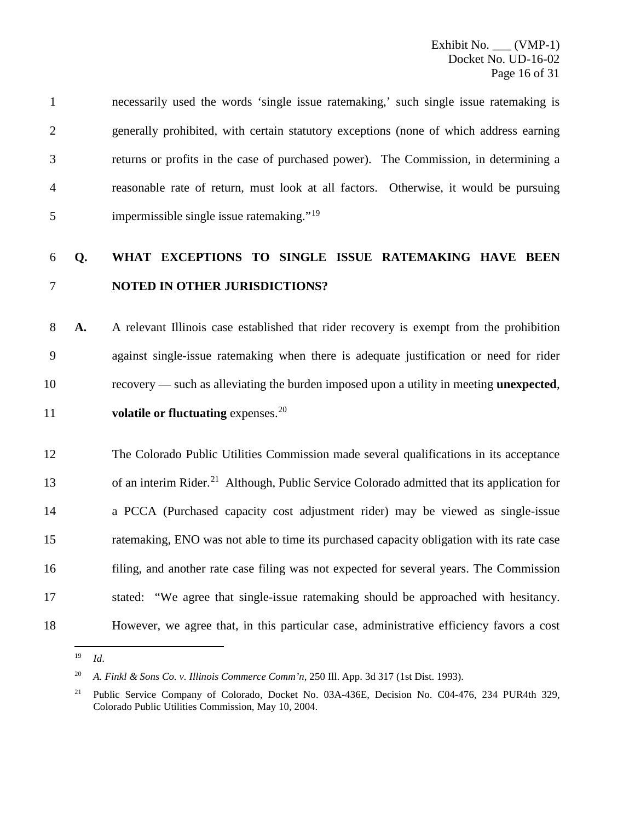necessarily used the words 'single issue ratemaking,' such single issue ratemaking is generally prohibited, with certain statutory exceptions (none of which address earning returns or profits in the case of purchased power). The Commission, in determining a reasonable rate of return, must look at all factors. Otherwise, it would be pursuing 5 impermissible single issue ratemaking."<sup>[19](#page-16-0)</sup>

### **Q. WHAT EXCEPTIONS TO SINGLE ISSUE RATEMAKING HAVE BEEN NOTED IN OTHER JURISDICTIONS?**

 **A.** A relevant Illinois case established that rider recovery is exempt from the prohibition against single-issue ratemaking when there is adequate justification or need for rider recovery — such as alleviating the burden imposed upon a utility in meeting **unexpected**, 11 volatile or fluctuating expenses.<sup>[20](#page-16-1)</sup>

 The Colorado Public Utilities Commission made several qualifications in its acceptance 13 of an interim Rider.<sup>[21](#page-16-2)</sup> Although, Public Service Colorado admitted that its application for a PCCA (Purchased capacity cost adjustment rider) may be viewed as single-issue ratemaking, ENO was not able to time its purchased capacity obligation with its rate case filing, and another rate case filing was not expected for several years. The Commission stated: "We agree that single-issue ratemaking should be approached with hesitancy. However, we agree that, in this particular case, administrative efficiency favors a cost

<span id="page-16-0"></span>*Id*.

<span id="page-16-1"></span>*A. Finkl & Sons Co. v. Illinois Commerce Comm'n*, 250 Ill. App. 3d 317 (1st Dist. 1993).

<span id="page-16-2"></span><sup>&</sup>lt;sup>21</sup> Public Service Company of Colorado, Docket No. 03A-436E, Decision No. C04-476, 234 PUR4th 329, Colorado Public Utilities Commission, May 10, 2004.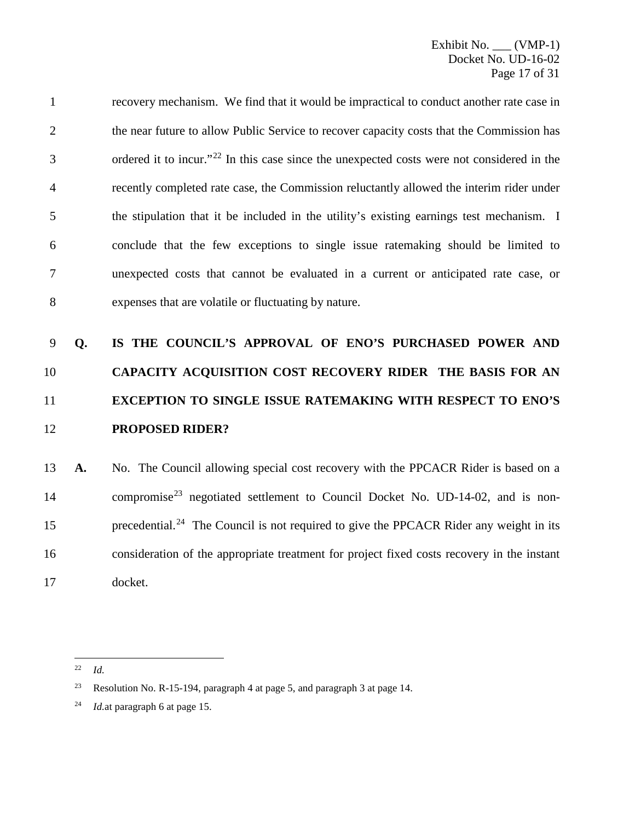recovery mechanism. We find that it would be impractical to conduct another rate case in the near future to allow Public Service to recover capacity costs that the Commission has  $\beta$  ordered it to incur."<sup>[22](#page-17-0)</sup> In this case since the unexpected costs were not considered in the recently completed rate case, the Commission reluctantly allowed the interim rider under the stipulation that it be included in the utility's existing earnings test mechanism. I conclude that the few exceptions to single issue ratemaking should be limited to unexpected costs that cannot be evaluated in a current or anticipated rate case, or expenses that are volatile or fluctuating by nature.

## **Q. IS THE COUNCIL'S APPROVAL OF ENO'S PURCHASED POWER AND CAPACITY ACQUISITION COST RECOVERY RIDER THE BASIS FOR AN EXCEPTION TO SINGLE ISSUE RATEMAKING WITH RESPECT TO ENO'S PROPOSED RIDER?**

 **A.** No. The Council allowing special cost recovery with the PPCACR Rider is based on a 14 compromise<sup>[23](#page-17-1)</sup> negotiated settlement to Council Docket No. UD-14-02, and is non-15 precedential.<sup>[24](#page-17-2)</sup> The Council is not required to give the PPCACR Rider any weight in its consideration of the appropriate treatment for project fixed costs recovery in the instant docket.

<span id="page-17-0"></span>*Id.*

<span id="page-17-1"></span><sup>&</sup>lt;sup>23</sup> Resolution No. R-15-194, paragraph 4 at page 5, and paragraph 3 at page 14.

<span id="page-17-2"></span>*Id.*at paragraph 6 at page 15.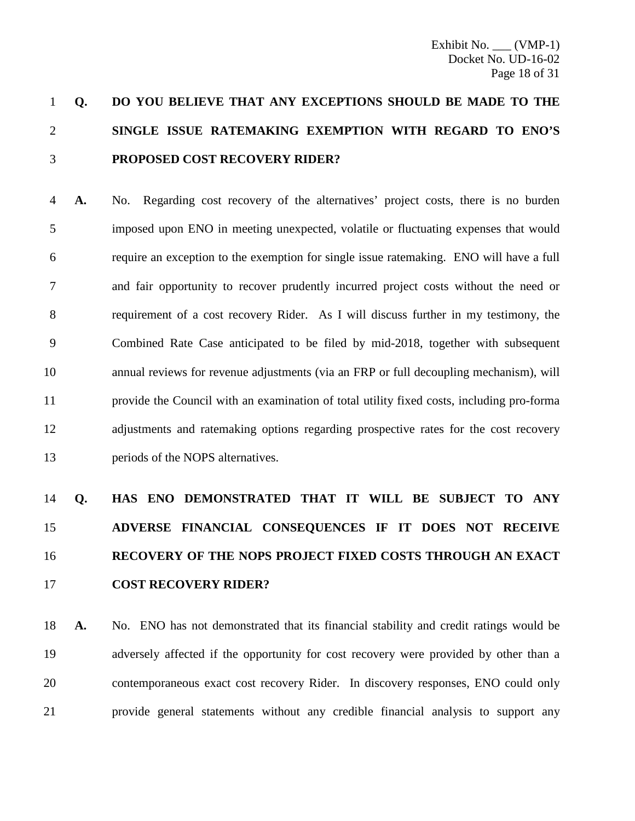## **Q. DO YOU BELIEVE THAT ANY EXCEPTIONS SHOULD BE MADE TO THE SINGLE ISSUE RATEMAKING EXEMPTION WITH REGARD TO ENO'S PROPOSED COST RECOVERY RIDER?**

 **A.** No. Regarding cost recovery of the alternatives' project costs, there is no burden imposed upon ENO in meeting unexpected, volatile or fluctuating expenses that would require an exception to the exemption for single issue ratemaking. ENO will have a full and fair opportunity to recover prudently incurred project costs without the need or requirement of a cost recovery Rider. As I will discuss further in my testimony, the Combined Rate Case anticipated to be filed by mid-2018, together with subsequent annual reviews for revenue adjustments (via an FRP or full decoupling mechanism), will provide the Council with an examination of total utility fixed costs, including pro-forma adjustments and ratemaking options regarding prospective rates for the cost recovery periods of the NOPS alternatives.

## **Q. HAS ENO DEMONSTRATED THAT IT WILL BE SUBJECT TO ANY ADVERSE FINANCIAL CONSEQUENCES IF IT DOES NOT RECEIVE RECOVERY OF THE NOPS PROJECT FIXED COSTS THROUGH AN EXACT COST RECOVERY RIDER?**

 **A.** No. ENO has not demonstrated that its financial stability and credit ratings would be adversely affected if the opportunity for cost recovery were provided by other than a contemporaneous exact cost recovery Rider. In discovery responses, ENO could only provide general statements without any credible financial analysis to support any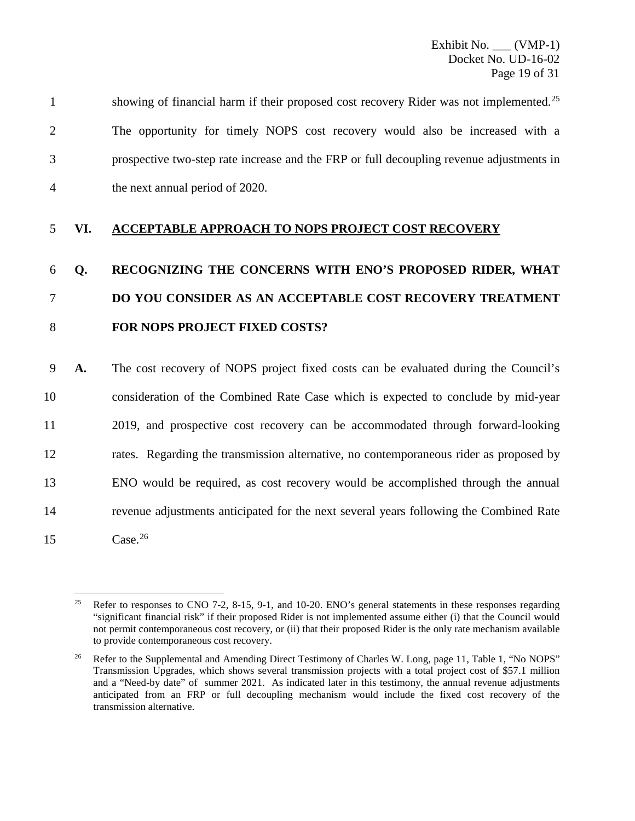|   | showing of financial harm if their proposed cost recovery Rider was not implemented. <sup>25</sup> |
|---|----------------------------------------------------------------------------------------------------|
| 2 | The opportunity for timely NOPS cost recovery would also be increased with a                       |
|   | prospective two-step rate increase and the FRP or full decoupling revenue adjustments in           |
|   | the next annual period of 2020.                                                                    |

### 5 **VI. ACCEPTABLE APPROACH TO NOPS PROJECT COST RECOVERY**

## 6 **Q. RECOGNIZING THE CONCERNS WITH ENO'S PROPOSED RIDER, WHAT**  7 **DO YOU CONSIDER AS AN ACCEPTABLE COST RECOVERY TREATMENT**  8 **FOR NOPS PROJECT FIXED COSTS?**

 **A.** The cost recovery of NOPS project fixed costs can be evaluated during the Council's consideration of the Combined Rate Case which is expected to conclude by mid-year 2019, and prospective cost recovery can be accommodated through forward-looking rates. Regarding the transmission alternative, no contemporaneous rider as proposed by ENO would be required, as cost recovery would be accomplished through the annual revenue adjustments anticipated for the next several years following the Combined Rate  $15 \text{ Case.}^{26}$  $15 \text{ Case.}^{26}$  $15 \text{ Case.}^{26}$ 

<span id="page-19-0"></span><sup>&</sup>lt;sup>25</sup> Refer to responses to CNO 7-2, 8-15, 9-1, and 10-20. ENO's general statements in these responses regarding "significant financial risk" if their proposed Rider is not implemented assume either (i) that the Council would not permit contemporaneous cost recovery, or (ii) that their proposed Rider is the only rate mechanism available to provide contemporaneous cost recovery.

<span id="page-19-1"></span><sup>&</sup>lt;sup>26</sup> Refer to the Supplemental and Amending Direct Testimony of Charles W. Long, page 11, Table 1, "No NOPS" Transmission Upgrades, which shows several transmission projects with a total project cost of \$57.1 million and a "Need-by date" of summer 2021. As indicated later in this testimony, the annual revenue adjustments anticipated from an FRP or full decoupling mechanism would include the fixed cost recovery of the transmission alternative.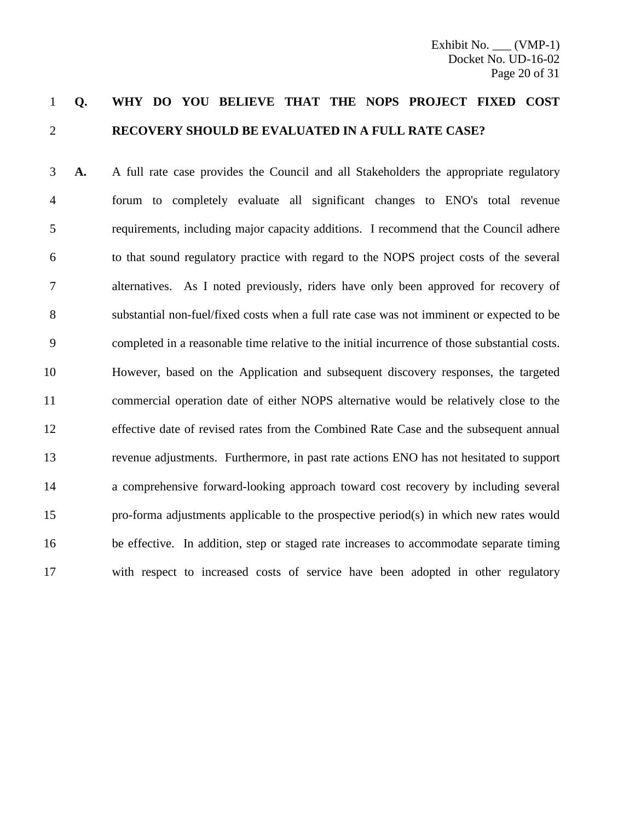### **Q. WHY DO YOU BELIEVE THAT THE NOPS PROJECT FIXED COST RECOVERY SHOULD BE EVALUATED IN A FULL RATE CASE?**

 **A.** A full rate case provides the Council and all Stakeholders the appropriate regulatory forum to completely evaluate all significant changes to ENO's total revenue requirements, including major capacity additions. I recommend that the Council adhere to that sound regulatory practice with regard to the NOPS project costs of the several alternatives. As I noted previously, riders have only been approved for recovery of substantial non-fuel/fixed costs when a full rate case was not imminent or expected to be completed in a reasonable time relative to the initial incurrence of those substantial costs. However, based on the Application and subsequent discovery responses, the targeted commercial operation date of either NOPS alternative would be relatively close to the effective date of revised rates from the Combined Rate Case and the subsequent annual revenue adjustments. Furthermore, in past rate actions ENO has not hesitated to support a comprehensive forward-looking approach toward cost recovery by including several pro-forma adjustments applicable to the prospective period(s) in which new rates would be effective. In addition, step or staged rate increases to accommodate separate timing with respect to increased costs of service have been adopted in other regulatory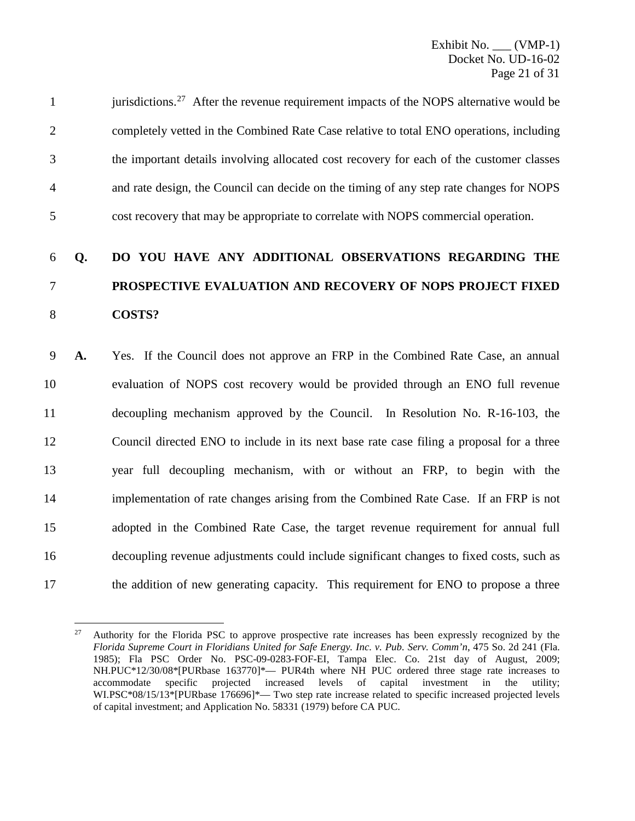|                | jurisdictions. <sup>27</sup> After the revenue requirement impacts of the NOPS alternative would be |
|----------------|-----------------------------------------------------------------------------------------------------|
| $\overline{2}$ | completely vetted in the Combined Rate Case relative to total ENO operations, including             |
| 3              | the important details involving allocated cost recovery for each of the customer classes            |
| 4              | and rate design, the Council can decide on the timing of any step rate changes for NOPS             |
| 5              | cost recovery that may be appropriate to correlate with NOPS commercial operation.                  |

## 6 **Q. DO YOU HAVE ANY ADDITIONAL OBSERVATIONS REGARDING THE**  7 **PROSPECTIVE EVALUATION AND RECOVERY OF NOPS PROJECT FIXED**  8 **COSTS?**

 **A.** Yes. If the Council does not approve an FRP in the Combined Rate Case, an annual evaluation of NOPS cost recovery would be provided through an ENO full revenue decoupling mechanism approved by the Council. In Resolution No. R-16-103, the Council directed ENO to include in its next base rate case filing a proposal for a three year full decoupling mechanism, with or without an FRP, to begin with the implementation of rate changes arising from the Combined Rate Case. If an FRP is not adopted in the Combined Rate Case, the target revenue requirement for annual full decoupling revenue adjustments could include significant changes to fixed costs, such as the addition of new generating capacity. This requirement for ENO to propose a three

<span id="page-21-0"></span><sup>&</sup>lt;sup>27</sup> Authority for the Florida PSC to approve prospective rate increases has been expressly recognized by the *Florida Supreme Court in Floridians United for Safe Energy. Inc. v. Pub. Serv. Comm'n*, 475 So. 2d 241 (Fla. 1985); Fla PSC Order No. PSC-09-0283-FOF-EI, Tampa Elec. Co. 21st day of August, 2009; NH.PUC\*12/30/08\*[PURbase 163770]\*— PUR4th where NH PUC ordered three stage rate increases to accommodate specific projected increased levels of capital investment in the utility; WI.PSC\*08/15/13\*[PURbase 176696]\*— Two step rate increase related to specific increased projected levels of capital investment; and Application No. 58331 (1979) before CA PUC.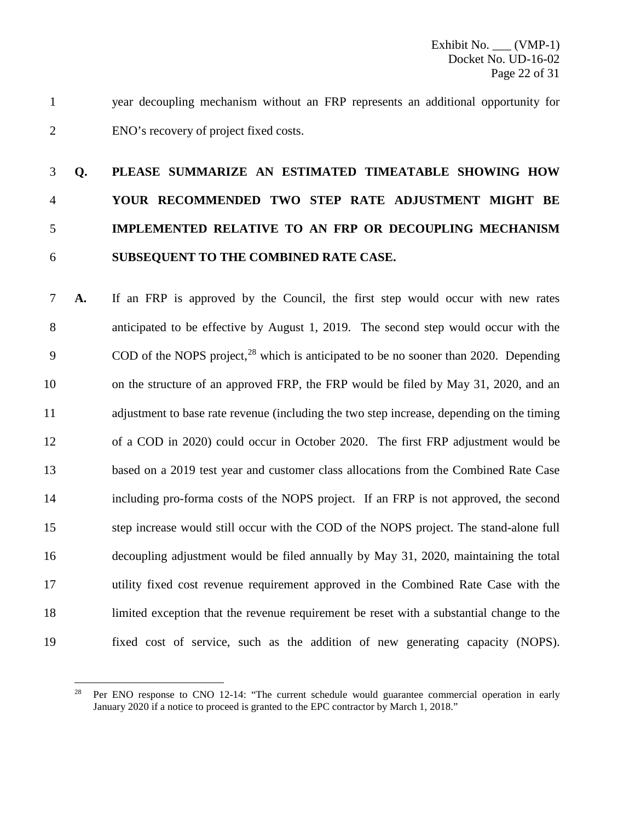year decoupling mechanism without an FRP represents an additional opportunity for ENO's recovery of project fixed costs.

## **Q. PLEASE SUMMARIZE AN ESTIMATED TIMEATABLE SHOWING HOW YOUR RECOMMENDED TWO STEP RATE ADJUSTMENT MIGHT BE IMPLEMENTED RELATIVE TO AN FRP OR DECOUPLING MECHANISM SUBSEQUENT TO THE COMBINED RATE CASE.**

 **A.** If an FRP is approved by the Council, the first step would occur with new rates anticipated to be effective by August 1, 2019. The second step would occur with the COD of the NOPS project, which is anticipated to be no sooner than 2020. Depending on the structure of an approved FRP, the FRP would be filed by May 31, 2020, and an adjustment to base rate revenue (including the two step increase, depending on the timing of a COD in 2020) could occur in October 2020. The first FRP adjustment would be based on a 2019 test year and customer class allocations from the Combined Rate Case including pro-forma costs of the NOPS project. If an FRP is not approved, the second step increase would still occur with the COD of the NOPS project. The stand-alone full decoupling adjustment would be filed annually by May 31, 2020, maintaining the total utility fixed cost revenue requirement approved in the Combined Rate Case with the limited exception that the revenue requirement be reset with a substantial change to the fixed cost of service, such as the addition of new generating capacity (NOPS).

<span id="page-22-0"></span> Per ENO response to CNO 12-14: "The current schedule would guarantee commercial operation in early January 2020 if a notice to proceed is granted to the EPC contractor by March 1, 2018."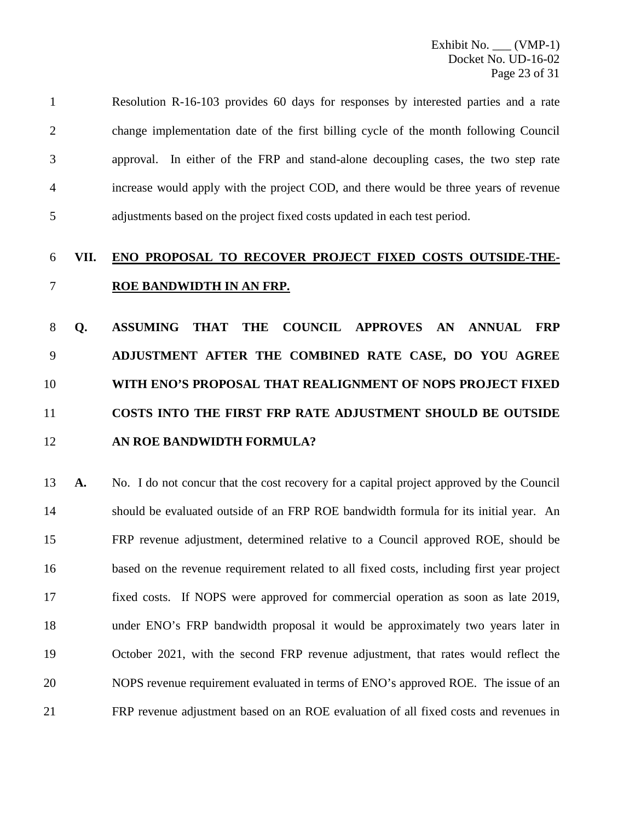| $\mathbf{1}$ | Resolution R-16-103 provides 60 days for responses by interested parties and a rate  |
|--------------|--------------------------------------------------------------------------------------|
| 2            | change implementation date of the first billing cycle of the month following Council |
| 3            | approval. In either of the FRP and stand-alone decoupling cases, the two step rate   |
| 4            | increase would apply with the project COD, and there would be three years of revenue |
| 5            | adjustments based on the project fixed costs updated in each test period.            |

### **VII. ENO PROPOSAL TO RECOVER PROJECT FIXED COSTS OUTSIDE-THE-ROE BANDWIDTH IN AN FRP.**

 **Q. ASSUMING THAT THE COUNCIL APPROVES AN ANNUAL FRP ADJUSTMENT AFTER THE COMBINED RATE CASE, DO YOU AGREE WITH ENO'S PROPOSAL THAT REALIGNMENT OF NOPS PROJECT FIXED COSTS INTO THE FIRST FRP RATE ADJUSTMENT SHOULD BE OUTSIDE AN ROE BANDWIDTH FORMULA?**

 **A.** No. I do not concur that the cost recovery for a capital project approved by the Council should be evaluated outside of an FRP ROE bandwidth formula for its initial year. An FRP revenue adjustment, determined relative to a Council approved ROE, should be based on the revenue requirement related to all fixed costs, including first year project fixed costs. If NOPS were approved for commercial operation as soon as late 2019, under ENO's FRP bandwidth proposal it would be approximately two years later in October 2021, with the second FRP revenue adjustment, that rates would reflect the NOPS revenue requirement evaluated in terms of ENO's approved ROE. The issue of an FRP revenue adjustment based on an ROE evaluation of all fixed costs and revenues in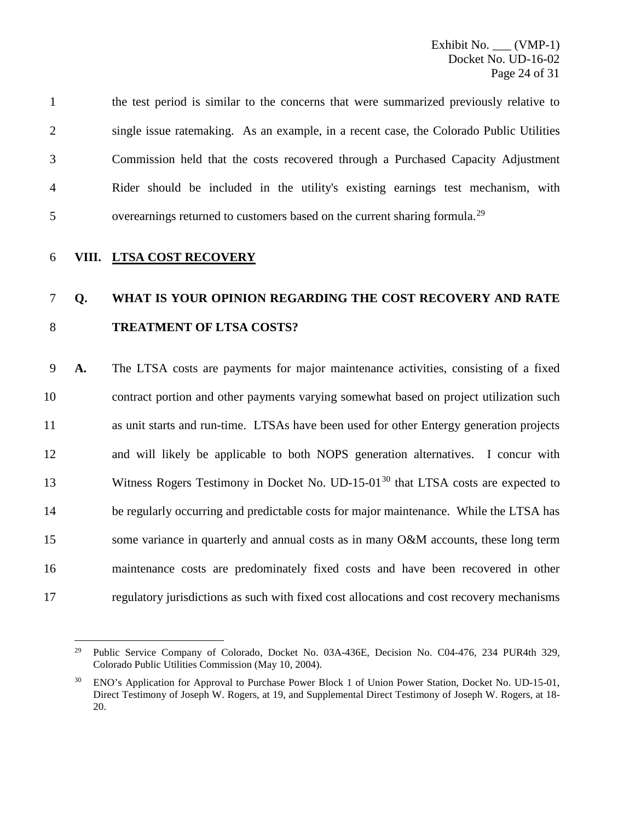|                | the test period is similar to the concerns that were summarized previously relative to  |
|----------------|-----------------------------------------------------------------------------------------|
| $\overline{2}$ | single issue ratemaking. As an example, in a recent case, the Colorado Public Utilities |
| 3              | Commission held that the costs recovered through a Purchased Capacity Adjustment        |
| 4              | Rider should be included in the utility's existing earnings test mechanism, with        |
| 5              | overearnings returned to customers based on the current sharing formula. <sup>29</sup>  |

6 **VIII. LTSA COST RECOVERY**

## 7 **Q. WHAT IS YOUR OPINION REGARDING THE COST RECOVERY AND RATE**  8 **TREATMENT OF LTSA COSTS?**

 **A.** The LTSA costs are payments for major maintenance activities, consisting of a fixed contract portion and other payments varying somewhat based on project utilization such as unit starts and run-time. LTSAs have been used for other Entergy generation projects and will likely be applicable to both NOPS generation alternatives. I concur with 13 Witness Rogers Testimony in Docket No. UD-15-01<sup>[30](#page-24-1)</sup> that LTSA costs are expected to be regularly occurring and predictable costs for major maintenance. While the LTSA has 15 some variance in quarterly and annual costs as in many O&M accounts, these long term maintenance costs are predominately fixed costs and have been recovered in other regulatory jurisdictions as such with fixed cost allocations and cost recovery mechanisms

<span id="page-24-0"></span><sup>&</sup>lt;sup>29</sup> Public Service Company of Colorado, Docket No. 03A-436E, Decision No. C04-476, 234 PUR4th 329, Colorado Public Utilities Commission (May 10, 2004).

<span id="page-24-1"></span><sup>&</sup>lt;sup>30</sup> ENO's Application for Approval to Purchase Power Block 1 of Union Power Station, Docket No. UD-15-01, Direct Testimony of Joseph W. Rogers, at 19, and Supplemental Direct Testimony of Joseph W. Rogers, at 18- 20.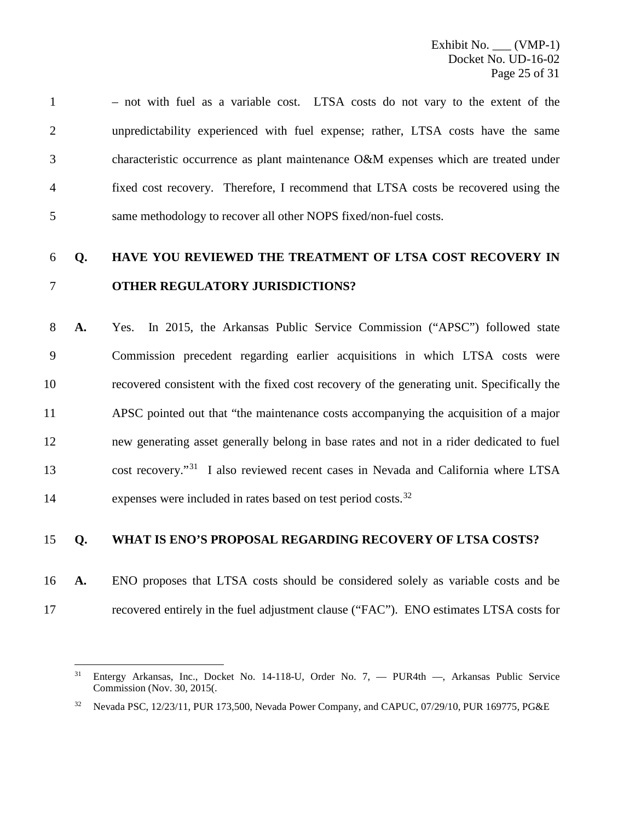– not with fuel as a variable cost. LTSA costs do not vary to the extent of the unpredictability experienced with fuel expense; rather, LTSA costs have the same characteristic occurrence as plant maintenance O&M expenses which are treated under fixed cost recovery. Therefore, I recommend that LTSA costs be recovered using the same methodology to recover all other NOPS fixed/non-fuel costs.

### **Q. HAVE YOU REVIEWED THE TREATMENT OF LTSA COST RECOVERY IN OTHER REGULATORY JURISDICTIONS?**

 **A.** Yes. In 2015, the Arkansas Public Service Commission ("APSC") followed state Commission precedent regarding earlier acquisitions in which LTSA costs were recovered consistent with the fixed cost recovery of the generating unit. Specifically the APSC pointed out that "the maintenance costs accompanying the acquisition of a major new generating asset generally belong in base rates and not in a rider dedicated to fuel 13 cost recovery."<sup>[31](#page-25-0)</sup> I also reviewed recent cases in Nevada and California where LTSA 14 expenses were included in rates based on test period costs.<sup>[32](#page-25-1)</sup>

#### **Q. WHAT IS ENO'S PROPOSAL REGARDING RECOVERY OF LTSA COSTS?**

 **A.** ENO proposes that LTSA costs should be considered solely as variable costs and be recovered entirely in the fuel adjustment clause ("FAC"). ENO estimates LTSA costs for

<span id="page-25-0"></span> Entergy Arkansas, Inc., Docket No. 14-118-U, Order No. 7, — PUR4th —, Arkansas Public Service Commission (Nov. 30, 2015(.

<span id="page-25-1"></span><sup>&</sup>lt;sup>32</sup> Nevada PSC, 12/23/11, PUR 173,500, Nevada Power Company, and CAPUC, 07/29/10, PUR 169775, PG&E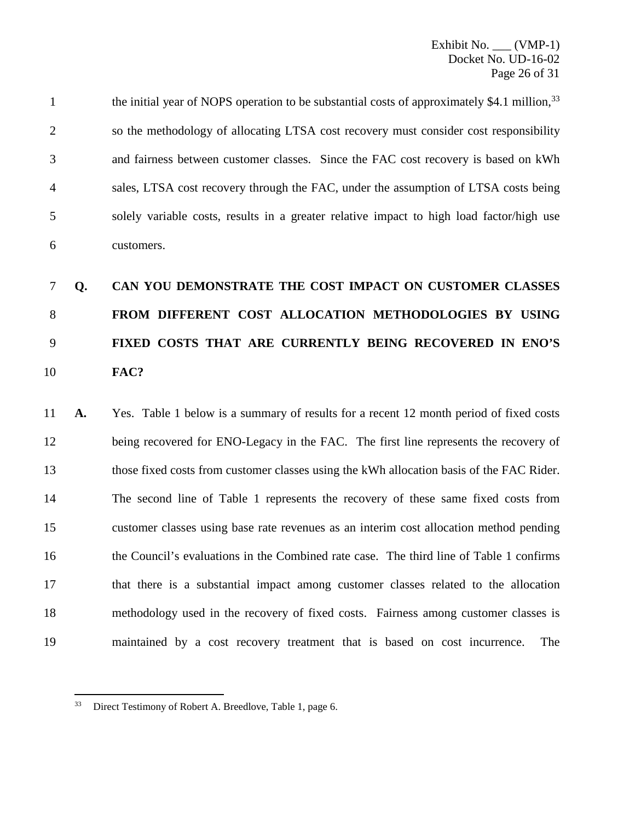the initial year of NOPS operation to be substantial costs of approximately \$4.1 million,<sup>[33](#page-26-0)</sup> so the methodology of allocating LTSA cost recovery must consider cost responsibility and fairness between customer classes. Since the FAC cost recovery is based on kWh sales, LTSA cost recovery through the FAC, under the assumption of LTSA costs being solely variable costs, results in a greater relative impact to high load factor/high use customers.

## **Q. CAN YOU DEMONSTRATE THE COST IMPACT ON CUSTOMER CLASSES FROM DIFFERENT COST ALLOCATION METHODOLOGIES BY USING FIXED COSTS THAT ARE CURRENTLY BEING RECOVERED IN ENO'S FAC?**

 **A.** Yes. Table 1 below is a summary of results for a recent 12 month period of fixed costs being recovered for ENO-Legacy in the FAC. The first line represents the recovery of those fixed costs from customer classes using the kWh allocation basis of the FAC Rider. The second line of Table 1 represents the recovery of these same fixed costs from customer classes using base rate revenues as an interim cost allocation method pending the Council's evaluations in the Combined rate case. The third line of Table 1 confirms that there is a substantial impact among customer classes related to the allocation methodology used in the recovery of fixed costs. Fairness among customer classes is maintained by a cost recovery treatment that is based on cost incurrence. The

<span id="page-26-0"></span>Direct Testimony of Robert A. Breedlove, Table 1, page 6.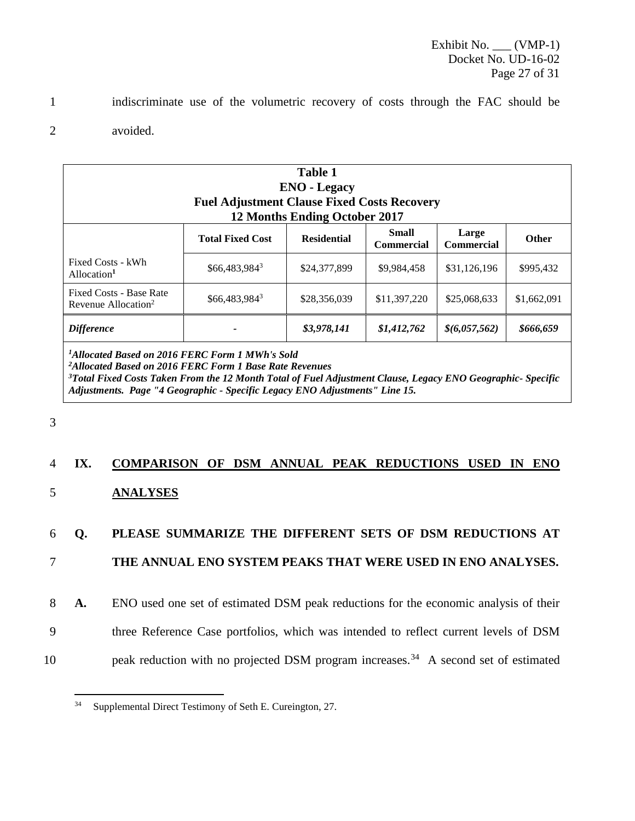1 indiscriminate use of the volumetric recovery of costs through the FAC should be

2 avoided.

| <b>Table 1</b><br><b>ENO</b> - Legacy<br><b>Fuel Adjustment Clause Fixed Costs Recovery</b><br><b>12 Months Ending October 2017</b> |                         |                    |                            |                            |              |
|-------------------------------------------------------------------------------------------------------------------------------------|-------------------------|--------------------|----------------------------|----------------------------|--------------|
|                                                                                                                                     | <b>Total Fixed Cost</b> | <b>Residential</b> | Small<br><b>Commercial</b> | Large<br><b>Commercial</b> | <b>Other</b> |
| Fixed Costs - kWh<br>Allocation <sup>1</sup>                                                                                        | \$66,483,9843           | \$24,377,899       | \$9,984,458                | \$31,126,196               | \$995,432    |
| Fixed Costs - Base Rate<br>Revenue Allocation <sup>2</sup>                                                                          | $$66,483,984^3$         | \$28,356,039       | \$11,397,220               | \$25,068,633               | \$1,662,091  |
| <b>Difference</b>                                                                                                                   |                         | \$3,978,141        | \$1,412,762                | \$(6,057,562)              | \$666,659    |
| $1$ Alleested Dssed on 2016 EEDC Form 1 MWh/s Seld                                                                                  |                         |                    |                            |                            |              |

*1 Allocated Based on 2016 FERC Form 1 MWh's Sold*

*2 Allocated Based on 2016 FERC Form 1 Base Rate Revenues*

*3 Total Fixed Costs Taken From the 12 Month Total of Fuel Adjustment Clause, Legacy ENO Geographic- Specific Adjustments. Page "4 Geographic - Specific Legacy ENO Adjustments" Line 15.*

3

### 4 **IX. COMPARISON OF DSM ANNUAL PEAK REDUCTIONS USED IN ENO**  5 **ANALYSES**

### 6 **Q. PLEASE SUMMARIZE THE DIFFERENT SETS OF DSM REDUCTIONS AT**

### 7 **THE ANNUAL ENO SYSTEM PEAKS THAT WERE USED IN ENO ANALYSES.**

8 **A.** ENO used one set of estimated DSM peak reductions for the economic analysis of their

- 9 three Reference Case portfolios, which was intended to reflect current levels of DSM
- <span id="page-27-0"></span>10 $peak$  reduction with no projected DSM program increases.<sup>34</sup> A second set of estimated

 <sup>34</sup> Supplemental Direct Testimony of Seth E. Cureington, 27.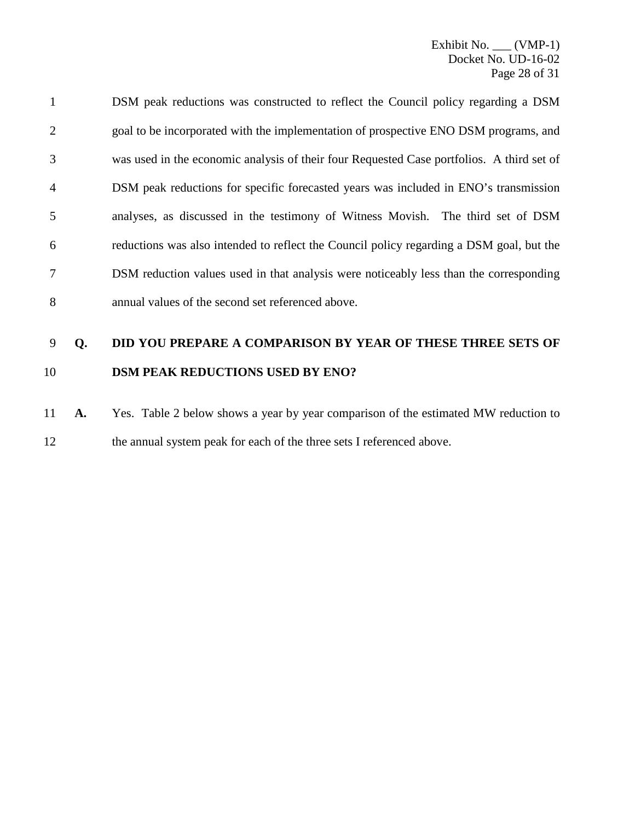DSM peak reductions was constructed to reflect the Council policy regarding a DSM goal to be incorporated with the implementation of prospective ENO DSM programs, and was used in the economic analysis of their four Requested Case portfolios. A third set of DSM peak reductions for specific forecasted years was included in ENO's transmission analyses, as discussed in the testimony of Witness Movish. The third set of DSM reductions was also intended to reflect the Council policy regarding a DSM goal, but the DSM reduction values used in that analysis were noticeably less than the corresponding annual values of the second set referenced above.

### **Q. DID YOU PREPARE A COMPARISON BY YEAR OF THESE THREE SETS OF DSM PEAK REDUCTIONS USED BY ENO?**

 **A.** Yes. Table 2 below shows a year by year comparison of the estimated MW reduction to 12 the annual system peak for each of the three sets I referenced above.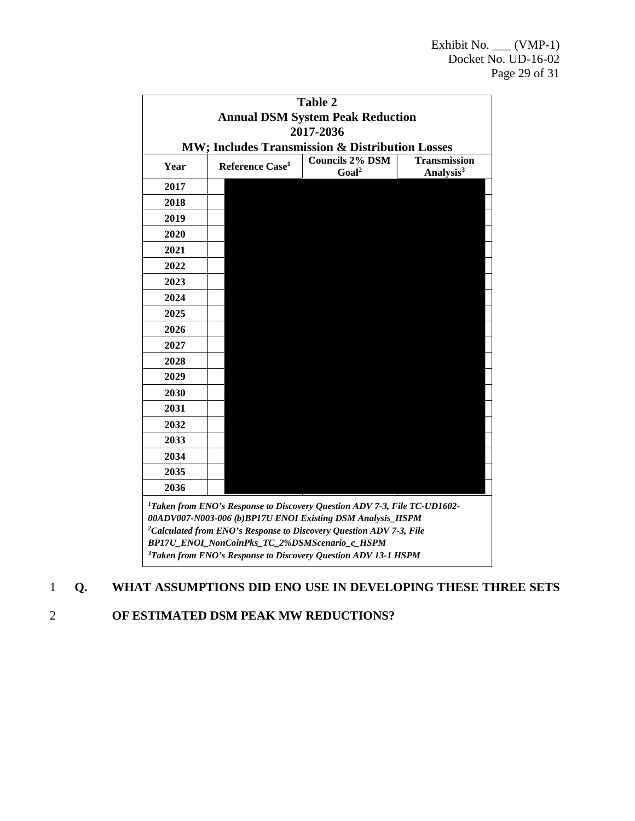|                                                 |                                                                                                                                                                                                                                                                                                                                                                       | <b>Table 2</b><br><b>Annual DSM System Peak Reduction</b> |                                              |
|-------------------------------------------------|-----------------------------------------------------------------------------------------------------------------------------------------------------------------------------------------------------------------------------------------------------------------------------------------------------------------------------------------------------------------------|-----------------------------------------------------------|----------------------------------------------|
|                                                 |                                                                                                                                                                                                                                                                                                                                                                       | 2017-2036                                                 |                                              |
| MW; Includes Transmission & Distribution Losses |                                                                                                                                                                                                                                                                                                                                                                       |                                                           |                                              |
| Year                                            | Reference Case <sup>1</sup>                                                                                                                                                                                                                                                                                                                                           | <b>Councils 2% DSM</b><br>Goal <sup>2</sup>               | <b>Transmission</b><br>Analysis <sup>3</sup> |
| 2017                                            |                                                                                                                                                                                                                                                                                                                                                                       |                                                           |                                              |
| 2018                                            |                                                                                                                                                                                                                                                                                                                                                                       |                                                           |                                              |
| 2019                                            |                                                                                                                                                                                                                                                                                                                                                                       |                                                           |                                              |
| 2020                                            |                                                                                                                                                                                                                                                                                                                                                                       |                                                           |                                              |
| 2021                                            |                                                                                                                                                                                                                                                                                                                                                                       |                                                           |                                              |
| 2022                                            |                                                                                                                                                                                                                                                                                                                                                                       |                                                           |                                              |
| 2023                                            |                                                                                                                                                                                                                                                                                                                                                                       |                                                           |                                              |
| 2024                                            |                                                                                                                                                                                                                                                                                                                                                                       |                                                           |                                              |
| 2025                                            |                                                                                                                                                                                                                                                                                                                                                                       |                                                           |                                              |
| 2026                                            |                                                                                                                                                                                                                                                                                                                                                                       |                                                           |                                              |
| 2027                                            |                                                                                                                                                                                                                                                                                                                                                                       |                                                           |                                              |
| 2028                                            |                                                                                                                                                                                                                                                                                                                                                                       |                                                           |                                              |
| 2029                                            |                                                                                                                                                                                                                                                                                                                                                                       |                                                           |                                              |
| 2030                                            |                                                                                                                                                                                                                                                                                                                                                                       |                                                           |                                              |
| 2031                                            |                                                                                                                                                                                                                                                                                                                                                                       |                                                           |                                              |
| 2032                                            |                                                                                                                                                                                                                                                                                                                                                                       |                                                           |                                              |
| 2033                                            |                                                                                                                                                                                                                                                                                                                                                                       |                                                           |                                              |
| 2034                                            |                                                                                                                                                                                                                                                                                                                                                                       |                                                           |                                              |
| 2035                                            |                                                                                                                                                                                                                                                                                                                                                                       |                                                           |                                              |
| 2036                                            |                                                                                                                                                                                                                                                                                                                                                                       |                                                           |                                              |
|                                                 | <sup>1</sup> Taken from ENO's Response to Discovery Question ADV 7-3, File TC-UD1602-<br>00ADV007-N003-006 (b)BP17U ENOI Existing DSM Analysis_HSPM<br><sup>2</sup> Calculated from ENO's Response to Discovery Question ADV 7-3, File<br>BP17U_ENOI_NonCoinPks_TC_2%DSMScenario_c_HSPM<br><sup>3</sup> Taken from ENO's Response to Discovery Question ADV 13-1 HSPM |                                                           |                                              |

### 1 **Q. WHAT ASSUMPTIONS DID ENO USE IN DEVELOPING THESE THREE SETS**

2 **OF ESTIMATED DSM PEAK MW REDUCTIONS?**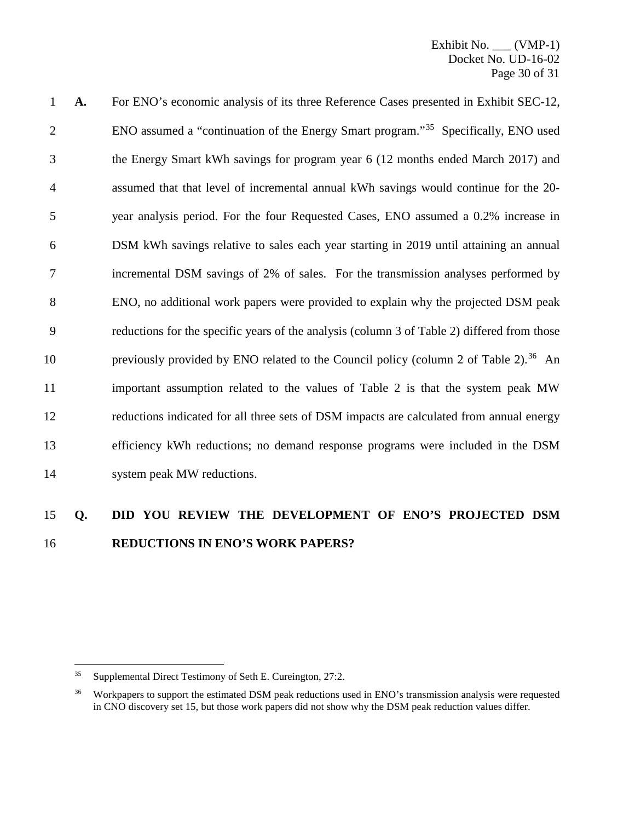| $\mathbf{1}$   | A. | For ENO's economic analysis of its three Reference Cases presented in Exhibit SEC-12,            |
|----------------|----|--------------------------------------------------------------------------------------------------|
| $\overline{2}$ |    | ENO assumed a "continuation of the Energy Smart program." <sup>35</sup> Specifically, ENO used   |
| 3              |    | the Energy Smart kWh savings for program year 6 (12 months ended March 2017) and                 |
| $\overline{4}$ |    | assumed that that level of incremental annual kWh savings would continue for the 20-             |
| 5              |    | year analysis period. For the four Requested Cases, ENO assumed a 0.2% increase in               |
| 6              |    | DSM kWh savings relative to sales each year starting in 2019 until attaining an annual           |
| $\overline{7}$ |    | incremental DSM savings of 2% of sales. For the transmission analyses performed by               |
| 8              |    | ENO, no additional work papers were provided to explain why the projected DSM peak               |
| 9              |    | reductions for the specific years of the analysis (column 3 of Table 2) differed from those      |
| 10             |    | previously provided by ENO related to the Council policy (column 2 of Table 2). <sup>36</sup> An |
| 11             |    | important assumption related to the values of Table 2 is that the system peak MW                 |
| 12             |    | reductions indicated for all three sets of DSM impacts are calculated from annual energy         |
| 13             |    | efficiency kWh reductions; no demand response programs were included in the DSM                  |
| 14             |    | system peak MW reductions.                                                                       |

### **Q. DID YOU REVIEW THE DEVELOPMENT OF ENO'S PROJECTED DSM REDUCTIONS IN ENO'S WORK PAPERS?**

<span id="page-30-0"></span>Supplemental Direct Testimony of Seth E. Cureington, 27:2.

<span id="page-30-1"></span><sup>&</sup>lt;sup>36</sup> Workpapers to support the estimated DSM peak reductions used in ENO's transmission analysis were requested in CNO discovery set 15, but those work papers did not show why the DSM peak reduction values differ.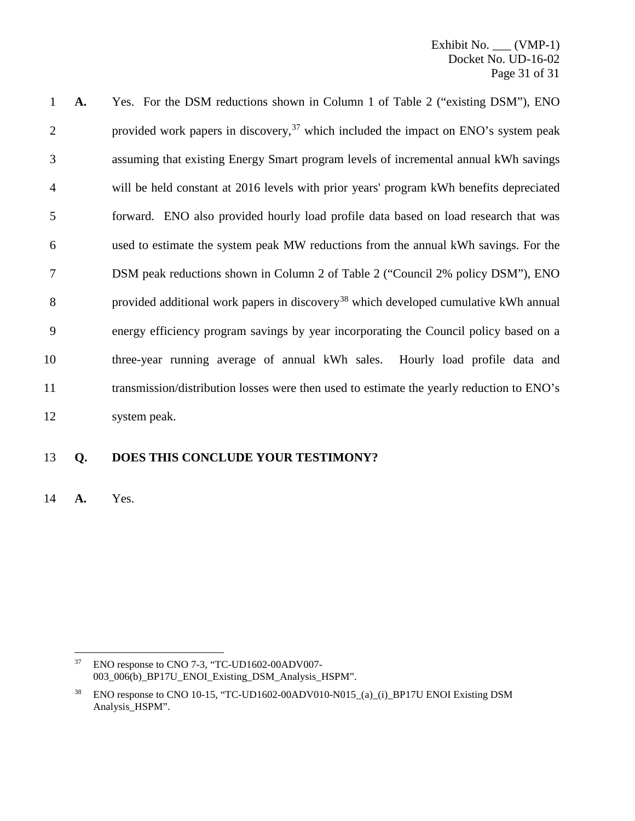Exhibit No. (VMP-1) Docket No. UD-16-02 Page 31 of 31

 **A.** Yes. For the DSM reductions shown in Column 1 of Table 2 ("existing DSM"), ENO 2 provided work papers in discovery, which included the impact on ENO's system peak assuming that existing Energy Smart program levels of incremental annual kWh savings will be held constant at 2016 levels with prior years' program kWh benefits depreciated forward. ENO also provided hourly load profile data based on load research that was used to estimate the system peak MW reductions from the annual kWh savings. For the DSM peak reductions shown in Column 2 of Table 2 ("Council 2% policy DSM"), ENO 8 provided additional work papers in discovery<sup>[38](#page-31-1)</sup> which developed cumulative kWh annual energy efficiency program savings by year incorporating the Council policy based on a three-year running average of annual kWh sales. Hourly load profile data and transmission/distribution losses were then used to estimate the yearly reduction to ENO's system peak.

### **Q. DOES THIS CONCLUDE YOUR TESTIMONY?**

**A.** Yes.

<span id="page-31-0"></span> ENO response to CNO 7-3, "TC-UD1602-00ADV007- 003\_006(b)\_BP17U\_ENOI\_Existing\_DSM\_Analysis\_HSPM".

<span id="page-31-1"></span><sup>&</sup>lt;sup>38</sup> ENO response to CNO 10-15, "TC-UD1602-00ADV010-N015 (a) (i) BP17U ENOI Existing DSM Analysis\_HSPM".